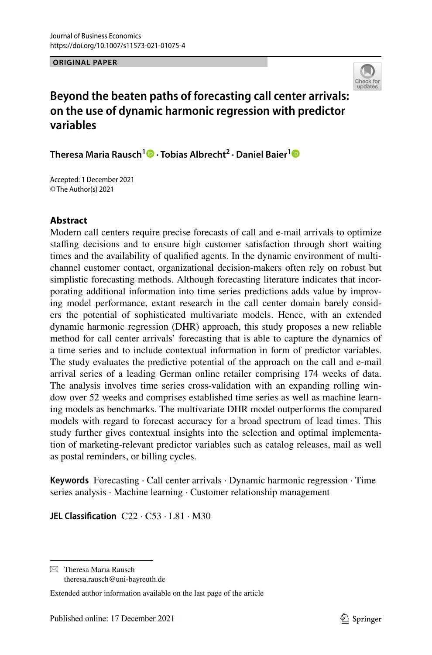**ORIGINAL PAPER**



# **Beyond the beaten paths of forecasting call center arrivals: on the use of dynamic harmonic regression with predictor variables**

**Theresa Maria Rausch1 · Tobias Albrecht2 · Daniel Baier[1](http://orcid.org/0000-0001-6525-8094)**

Accepted: 1 December 2021 © The Author(s) 2021

### **Abstract**

Modern call centers require precise forecasts of call and e-mail arrivals to optimize stafng decisions and to ensure high customer satisfaction through short waiting times and the availability of qualifed agents. In the dynamic environment of multichannel customer contact, organizational decision-makers often rely on robust but simplistic forecasting methods. Although forecasting literature indicates that incorporating additional information into time series predictions adds value by improving model performance, extant research in the call center domain barely considers the potential of sophisticated multivariate models. Hence, with an extended dynamic harmonic regression (DHR) approach, this study proposes a new reliable method for call center arrivals' forecasting that is able to capture the dynamics of a time series and to include contextual information in form of predictor variables. The study evaluates the predictive potential of the approach on the call and e-mail arrival series of a leading German online retailer comprising 174 weeks of data. The analysis involves time series cross-validation with an expanding rolling window over 52 weeks and comprises established time series as well as machine learning models as benchmarks. The multivariate DHR model outperforms the compared models with regard to forecast accuracy for a broad spectrum of lead times. This study further gives contextual insights into the selection and optimal implementation of marketing-relevant predictor variables such as catalog releases, mail as well as postal reminders, or billing cycles.

**Keywords** Forecasting · Call center arrivals · Dynamic harmonic regression · Time series analysis · Machine learning · Customer relationship management

**JEL Classifcation** C22 · C53 · L81 · M30

 $\boxtimes$  Theresa Maria Rausch theresa.rausch@uni-bayreuth.de

Extended author information available on the last page of the article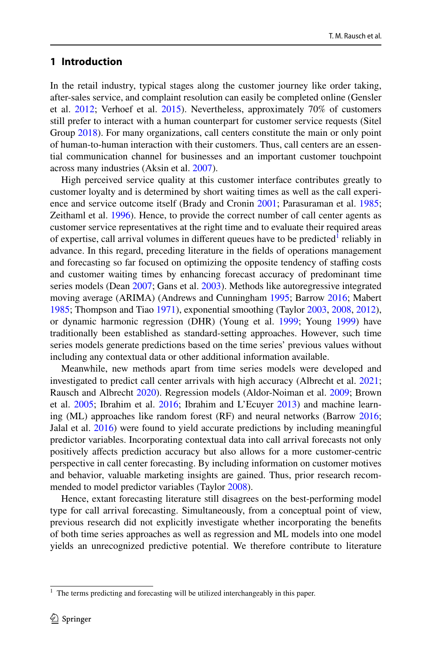### **1 Introduction**

In the retail industry, typical stages along the customer journey like order taking, after-sales service, and complaint resolution can easily be completed online (Gensler et al. [2012](#page-29-0); Verhoef et al. [2015](#page-30-0)). Nevertheless, approximately 70% of customers still prefer to interact with a human counterpart for customer service requests (Sitel Group [2018](#page-30-1)). For many organizations, call centers constitute the main or only point of human-to-human interaction with their customers. Thus, call centers are an essential communication channel for businesses and an important customer touchpoint across many industries (Aksin et al. [2007](#page-28-0)).

High perceived service quality at this customer interface contributes greatly to customer loyalty and is determined by short waiting times as well as the call experience and service outcome itself (Brady and Cronin [2001;](#page-29-1) Parasuraman et al. [1985;](#page-30-2) Zeithaml et al. [1996\)](#page-30-3). Hence, to provide the correct number of call center agents as customer service representatives at the right time and to evaluate their required areas of expertise, call arrival volumes in different queues have to be predicted<sup>[1](#page-1-0)</sup> reliably in advance. In this regard, preceding literature in the felds of operations management and forecasting so far focused on optimizing the opposite tendency of staffing costs and customer waiting times by enhancing forecast accuracy of predominant time series models (Dean [2007;](#page-29-2) Gans et al. [2003\)](#page-29-3). Methods like autoregressive integrated moving average (ARIMA) (Andrews and Cunningham [1995;](#page-28-1) Barrow [2016](#page-28-2); Mabert [1985](#page-30-4); Thompson and Tiao [1971](#page-30-5)), exponential smoothing (Taylor [2003,](#page-30-6) [2008,](#page-30-7) [2012\)](#page-30-8), or dynamic harmonic regression (DHR) (Young et al. [1999;](#page-30-9) Young [1999](#page-30-10)) have traditionally been established as standard-setting approaches. However, such time series models generate predictions based on the time series' previous values without including any contextual data or other additional information available.

Meanwhile, new methods apart from time series models were developed and investigated to predict call center arrivals with high accuracy (Albrecht et al. [2021;](#page-28-3) Rausch and Albrecht [2020\)](#page-30-11). Regression models (Aldor-Noiman et al. [2009](#page-28-4); Brown et al. [2005](#page-29-4); Ibrahim et al. [2016;](#page-29-5) Ibrahim and L'Ecuyer [2013](#page-29-6)) and machine learning (ML) approaches like random forest (RF) and neural networks (Barrow [2016;](#page-28-2) Jalal et al. [2016\)](#page-29-7) were found to yield accurate predictions by including meaningful predictor variables. Incorporating contextual data into call arrival forecasts not only positively affects prediction accuracy but also allows for a more customer-centric perspective in call center forecasting. By including information on customer motives and behavior, valuable marketing insights are gained. Thus, prior research recommended to model predictor variables (Taylor [2008\)](#page-30-7).

Hence, extant forecasting literature still disagrees on the best-performing model type for call arrival forecasting. Simultaneously, from a conceptual point of view, previous research did not explicitly investigate whether incorporating the benefts of both time series approaches as well as regression and ML models into one model yields an unrecognized predictive potential. We therefore contribute to literature

<span id="page-1-0"></span> $1$  The terms predicting and forecasting will be utilized interchangeably in this paper.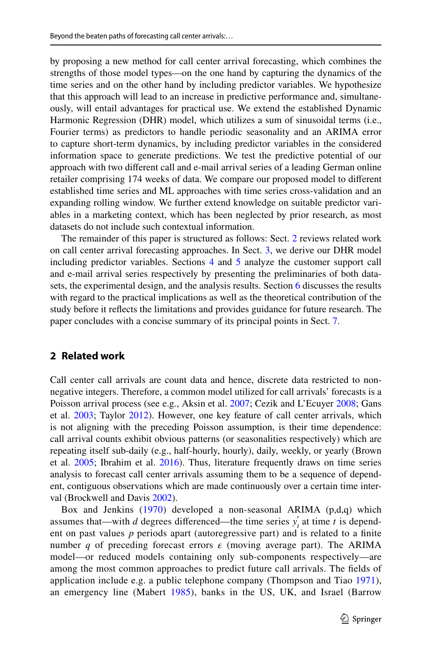by proposing a new method for call center arrival forecasting, which combines the strengths of those model types—on the one hand by capturing the dynamics of the time series and on the other hand by including predictor variables. We hypothesize that this approach will lead to an increase in predictive performance and, simultaneously, will entail advantages for practical use. We extend the established Dynamic Harmonic Regression (DHR) model, which utilizes a sum of sinusoidal terms (i.e., Fourier terms) as predictors to handle periodic seasonality and an ARIMA error to capture short-term dynamics, by including predictor variables in the considered information space to generate predictions. We test the predictive potential of our approach with two diferent call and e-mail arrival series of a leading German online retailer comprising 174 weeks of data. We compare our proposed model to diferent established time series and ML approaches with time series cross-validation and an expanding rolling window. We further extend knowledge on suitable predictor variables in a marketing context, which has been neglected by prior research, as most datasets do not include such contextual information.

The remainder of this paper is structured as follows: Sect. [2](#page-2-0) reviews related work on call center arrival forecasting approaches. In Sect. [3,](#page-5-0) we derive our DHR model including predictor variables. Sections [4](#page-6-0) and [5](#page-18-0) analyze the customer support call and e-mail arrival series respectively by presenting the preliminaries of both datasets, the experimental design, and the analysis results. Section [6](#page-24-0) discusses the results with regard to the practical implications as well as the theoretical contribution of the study before it refects the limitations and provides guidance for future research. The paper concludes with a concise summary of its principal points in Sect. [7](#page-27-0).

### <span id="page-2-0"></span>**2 Related work**

Call center call arrivals are count data and hence, discrete data restricted to nonnegative integers. Therefore, a common model utilized for call arrivals' forecasts is a Poisson arrival process (see e.g., Aksin et al. [2007](#page-28-0); Cezik and L'Ecuyer [2008](#page-29-8); Gans et al. [2003](#page-29-3); Taylor [2012](#page-30-8)). However, one key feature of call center arrivals, which is not aligning with the preceding Poisson assumption, is their time dependence: call arrival counts exhibit obvious patterns (or seasonalities respectively) which are repeating itself sub-daily (e.g., half-hourly, hourly), daily, weekly, or yearly (Brown et al. [2005;](#page-29-4) Ibrahim et al. [2016](#page-29-5)). Thus, literature frequently draws on time series analysis to forecast call center arrivals assuming them to be a sequence of dependent, contiguous observations which are made continuously over a certain time interval (Brockwell and Davis [2002](#page-29-9)).

Box and Jenkins [\(1970\)](#page-29-10) developed a non-seasonal ARIMA (p,d,q) which assumes that—with *d* degrees differenced—the time series  $y'_t$  at time *t* is dependent on past values *p* periods apart (autoregressive part) and is related to a fnite number *q* of preceding forecast errors  $\epsilon$  (moving average part). The ARIMA model—or reduced models containing only sub-components respectively—are among the most common approaches to predict future call arrivals. The felds of application include e.g. a public telephone company (Thompson and Tiao [1971](#page-30-5)), an emergency line (Mabert [1985](#page-30-4)), banks in the US, UK, and Israel (Barrow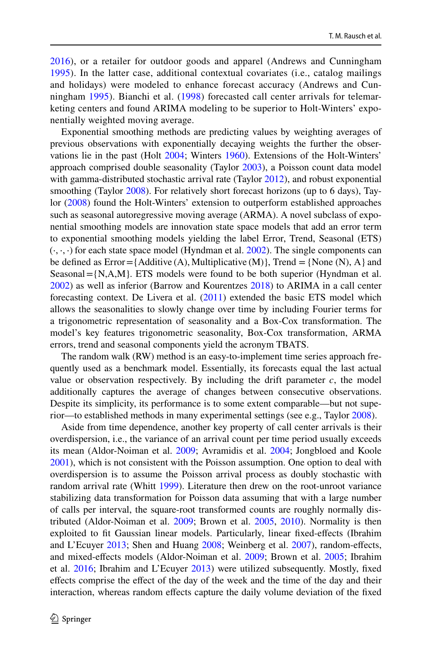[2016\)](#page-28-2), or a retailer for outdoor goods and apparel (Andrews and Cunningham [1995\)](#page-28-1). In the latter case, additional contextual covariates (i.e., catalog mailings and holidays) were modeled to enhance forecast accuracy (Andrews and Cunningham [1995](#page-28-1)). Bianchi et al. ([1998\)](#page-29-11) forecasted call center arrivals for telemarketing centers and found ARIMA modeling to be superior to Holt-Winters' exponentially weighted moving average.

Exponential smoothing methods are predicting values by weighting averages of previous observations with exponentially decaying weights the further the observations lie in the past (Holt [2004;](#page-29-12) Winters [1960\)](#page-30-12). Extensions of the Holt-Winters' approach comprised double seasonality (Taylor [2003\)](#page-30-6), a Poisson count data model with gamma-distributed stochastic arrival rate (Taylor [2012](#page-30-8)), and robust exponential smoothing (Taylor [2008](#page-30-7)). For relatively short forecast horizons (up to 6 days), Taylor ([2008\)](#page-30-7) found the Holt-Winters' extension to outperform established approaches such as seasonal autoregressive moving average (ARMA). A novel subclass of exponential smoothing models are innovation state space models that add an error term to exponential smoothing models yielding the label Error, Trend, Seasonal (ETS)  $(\cdot, \cdot, \cdot)$  for each state space model (Hyndman et al. [2002\)](#page-29-13). The single components can be defined as  $Error = \{Additive(A), Multiplicative(M)\}, \text{Trend } = \{None(N), A\}$  and Seasonal =  $\{N, A, M\}$ . ETS models were found to be both superior (Hyndman et al. [2002](#page-29-13)) as well as inferior (Barrow and Kourentzes [2018\)](#page-28-5) to ARIMA in a call center forecasting context. De Livera et al. ([2011\)](#page-29-14) extended the basic ETS model which allows the seasonalities to slowly change over time by including Fourier terms for a trigonometric representation of seasonality and a Box-Cox transformation. The model's key features trigonometric seasonality, Box-Cox transformation, ARMA errors, trend and seasonal components yield the acronym TBATS.

The random walk (RW) method is an easy-to-implement time series approach frequently used as a benchmark model. Essentially, its forecasts equal the last actual value or observation respectively. By including the drift parameter  $c$ , the model additionally captures the average of changes between consecutive observations. Despite its simplicity, its performance is to some extent comparable—but not superior—to established methods in many experimental settings (see e.g., Taylor [2008](#page-30-7)).

Aside from time dependence, another key property of call center arrivals is their overdispersion, i.e., the variance of an arrival count per time period usually exceeds its mean (Aldor-Noiman et al. [2009](#page-28-4); Avramidis et al. [2004;](#page-28-6) Jongbloed and Koole [2001](#page-29-15)), which is not consistent with the Poisson assumption. One option to deal with overdispersion is to assume the Poisson arrival process as doubly stochastic with random arrival rate (Whitt [1999\)](#page-30-13). Literature then drew on the root-unroot variance stabilizing data transformation for Poisson data assuming that with a large number of calls per interval, the square-root transformed counts are roughly normally distributed (Aldor-Noiman et al. [2009;](#page-28-4) Brown et al. [2005](#page-29-4), [2010\)](#page-29-16). Normality is then exploited to ft Gaussian linear models. Particularly, linear fxed-efects (Ibrahim and L'Ecuyer [2013;](#page-29-6) Shen and Huang [2008;](#page-30-14) Weinberg et al. [2007\)](#page-30-15), random-efects, and mixed-efects models (Aldor-Noiman et al. [2009](#page-28-4); Brown et al. [2005](#page-29-4); Ibrahim et al. [2016;](#page-29-5) Ibrahim and L'Ecuyer [2013\)](#page-29-6) were utilized subsequently. Mostly, fxed efects comprise the efect of the day of the week and the time of the day and their interaction, whereas random effects capture the daily volume deviation of the fixed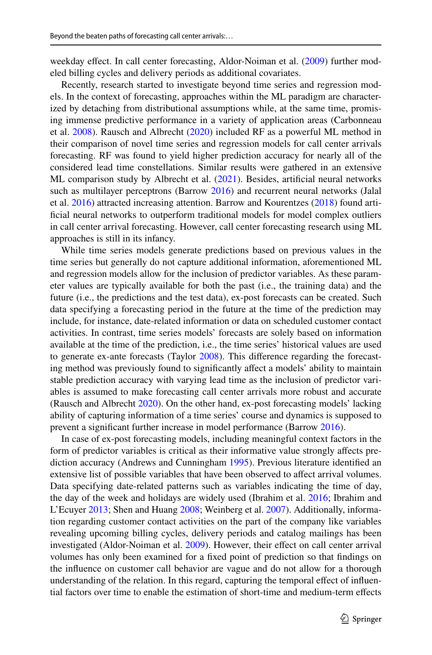weekday effect. In call center forecasting, Aldor-Noiman et al. [\(2009](#page-28-4)) further modeled billing cycles and delivery periods as additional covariates.

Recently, research started to investigate beyond time series and regression models. In the context of forecasting, approaches within the ML paradigm are characterized by detaching from distributional assumptions while, at the same time, promising immense predictive performance in a variety of application areas (Carbonneau et al. [2008\)](#page-29-17). Rausch and Albrecht [\(2020](#page-30-11)) included RF as a powerful ML method in their comparison of novel time series and regression models for call center arrivals forecasting. RF was found to yield higher prediction accuracy for nearly all of the considered lead time constellations. Similar results were gathered in an extensive ML comparison study by Albrecht et al. [\(2021](#page-28-3)). Besides, artifcial neural networks such as multilayer perceptrons (Barrow [2016\)](#page-28-2) and recurrent neural networks (Jalal et al. [2016\)](#page-29-7) attracted increasing attention. Barrow and Kourentzes [\(2018](#page-28-5)) found artificial neural networks to outperform traditional models for model complex outliers in call center arrival forecasting. However, call center forecasting research using ML approaches is still in its infancy.

While time series models generate predictions based on previous values in the time series but generally do not capture additional information, aforementioned ML and regression models allow for the inclusion of predictor variables. As these parameter values are typically available for both the past (i.e., the training data) and the future (i.e., the predictions and the test data), ex-post forecasts can be created. Such data specifying a forecasting period in the future at the time of the prediction may include, for instance, date-related information or data on scheduled customer contact activities. In contrast, time series models' forecasts are solely based on information available at the time of the prediction, i.e., the time series' historical values are used to generate ex-ante forecasts (Taylor [2008\)](#page-30-7). This diference regarding the forecasting method was previously found to significantly affect a models' ability to maintain stable prediction accuracy with varying lead time as the inclusion of predictor variables is assumed to make forecasting call center arrivals more robust and accurate (Rausch and Albrecht [2020\)](#page-30-11). On the other hand, ex-post forecasting models' lacking ability of capturing information of a time series' course and dynamics is supposed to prevent a signifcant further increase in model performance (Barrow [2016](#page-28-2)).

In case of ex-post forecasting models, including meaningful context factors in the form of predictor variables is critical as their informative value strongly afects prediction accuracy (Andrews and Cunningham [1995](#page-28-1)). Previous literature identifed an extensive list of possible variables that have been observed to afect arrival volumes. Data specifying date-related patterns such as variables indicating the time of day, the day of the week and holidays are widely used (Ibrahim et al. [2016;](#page-29-5) Ibrahim and L'Ecuyer [2013](#page-29-6); Shen and Huang [2008](#page-30-14); Weinberg et al. [2007\)](#page-30-15). Additionally, information regarding customer contact activities on the part of the company like variables revealing upcoming billing cycles, delivery periods and catalog mailings has been investigated (Aldor-Noiman et al. [2009\)](#page-28-4). However, their efect on call center arrival volumes has only been examined for a fxed point of prediction so that fndings on the infuence on customer call behavior are vague and do not allow for a thorough understanding of the relation. In this regard, capturing the temporal effect of influential factors over time to enable the estimation of short-time and medium-term efects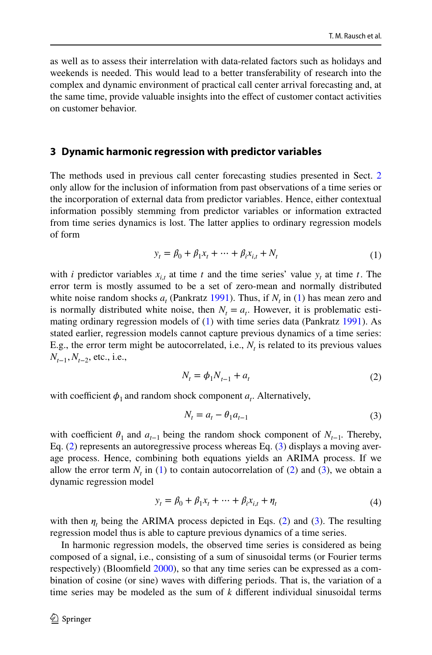as well as to assess their interrelation with data-related factors such as holidays and weekends is needed. This would lead to a better transferability of research into the complex and dynamic environment of practical call center arrival forecasting and, at the same time, provide valuable insights into the efect of customer contact activities on customer behavior.

### <span id="page-5-0"></span>**3 Dynamic harmonic regression with predictor variables**

The methods used in previous call center forecasting studies presented in Sect. [2](#page-2-0) only allow for the inclusion of information from past observations of a time series or the incorporation of external data from predictor variables. Hence, either contextual information possibly stemming from predictor variables or information extracted from time series dynamics is lost. The latter applies to ordinary regression models of form

<span id="page-5-1"></span>
$$
y_t = \beta_0 + \beta_1 x_t + \dots + \beta_i x_{i,t} + N_t \tag{1}
$$

with *i* predictor variables  $x_{i,t}$  at time *t* and the time series' value  $y_t$  at time *t*. The error term is mostly assumed to be a set of zero-mean and normally distributed white noise random shocks  $a_t$  (Pankratz [1991\)](#page-30-16). Thus, if  $N_t$  in [\(1](#page-5-1)) has mean zero and is normally distributed white noise, then  $N_t = a_t$ . However, it is problematic estimating ordinary regression models of [\(1](#page-5-1)) with time series data (Pankratz [1991](#page-30-16)). As stated earlier, regression models cannot capture previous dynamics of a time series: E.g., the error term might be autocorrelated, i.e.,  $N_t$  is related to its previous values *N<sub>t−1</sub>*, *N<sub>t−2</sub>*, etc., i.e.,

<span id="page-5-2"></span>
$$
N_t = \phi_1 N_{t-1} + a_t \tag{2}
$$

with coefficient  $\phi_1$  and random shock component  $a_t$ . Alternatively,

<span id="page-5-4"></span><span id="page-5-3"></span>
$$
N_t = a_t - \theta_1 a_{t-1} \tag{3}
$$

with coefficient  $\theta_1$  and  $a_{t-1}$  being the random shock component of  $N_{t-1}$ . Thereby, Eq. [\(2](#page-5-2)) represents an autoregressive process whereas Eq. [\(3](#page-5-3)) displays a moving average process. Hence, combining both equations yields an ARIMA process. If we allow the error term  $N_t$  in ([1\)](#page-5-1) to contain autocorrelation of [\(2](#page-5-2)) and [\(3](#page-5-3)), we obtain a dynamic regression model

$$
y_t = \beta_0 + \beta_1 x_t + \dots + \beta_i x_{i,t} + \eta_t \tag{4}
$$

with then  $\eta_t$  being the ARIMA process depicted in Eqs. [\(2](#page-5-2)) and [\(3](#page-5-3)). The resulting regression model thus is able to capture previous dynamics of a time series.

In harmonic regression models, the observed time series is considered as being composed of a signal, i.e., consisting of a sum of sinusoidal terms (or Fourier terms respectively) (Bloomfeld [2000](#page-29-18)), so that any time series can be expressed as a combination of cosine (or sine) waves with difering periods. That is, the variation of a time series may be modeled as the sum of *k* diferent individual sinusoidal terms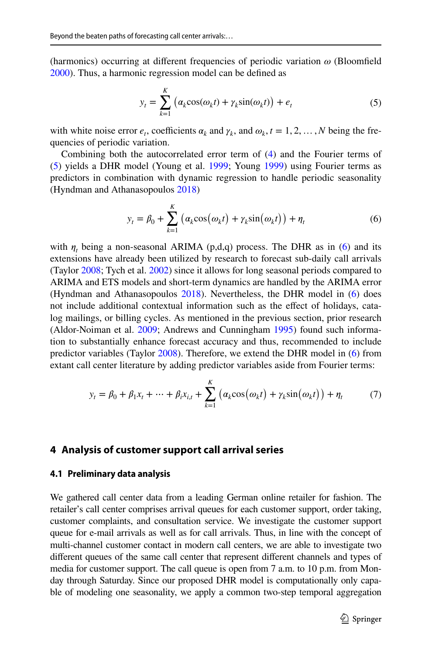(harmonics) occurring at different frequencies of periodic variation  $\omega$  (Bloomfield [2000](#page-29-18)). Thus, a harmonic regression model can be defned as

<span id="page-6-1"></span>
$$
y_t = \sum_{k=1}^{K} \left( \alpha_k \cos(\omega_k t) + \gamma_k \sin(\omega_k t) \right) + e_t \tag{5}
$$

with white noise error  $e_t$ , coefficients  $\alpha_k$  and  $\gamma_k$ , and  $\omega_k$ ,  $t = 1, 2, ..., N$  being the frequencies of periodic variation.

Combining both the autocorrelated error term of ([4\)](#page-5-4) and the Fourier terms of [\(5](#page-6-1)) yields a DHR model (Young et al. [1999](#page-30-9); Young [1999\)](#page-30-10) using Fourier terms as predictors in combination with dynamic regression to handle periodic seasonality (Hyndman and Athanasopoulos [2018](#page-29-19))

<span id="page-6-2"></span>
$$
y_t = \beta_0 + \sum_{k=1}^K \left( \alpha_k \cos(\omega_k t) + \gamma_k \sin(\omega_k t) \right) + \eta_t \tag{6}
$$

with  $\eta_t$  being a non-seasonal ARIMA (p,d,q) process. The DHR as in [\(6](#page-6-2)) and its extensions have already been utilized by research to forecast sub-daily call arrivals (Taylor [2008;](#page-30-7) Tych et al. [2002\)](#page-30-17) since it allows for long seasonal periods compared to ARIMA and ETS models and short-term dynamics are handled by the ARIMA error (Hyndman and Athanasopoulos [2018\)](#page-29-19). Nevertheless, the DHR model in ([6\)](#page-6-2) does not include additional contextual information such as the efect of holidays, catalog mailings, or billing cycles. As mentioned in the previous section, prior research (Aldor-Noiman et al. [2009](#page-28-4); Andrews and Cunningham [1995\)](#page-28-1) found such information to substantially enhance forecast accuracy and thus, recommended to include predictor variables (Taylor [2008\)](#page-30-7). Therefore, we extend the DHR model in ([6\)](#page-6-2) from extant call center literature by adding predictor variables aside from Fourier terms:

$$
y_t = \beta_0 + \beta_1 x_t + \dots + \beta_i x_{i,t} + \sum_{k=1}^K \left( \alpha_k \cos(\omega_k t) + \gamma_k \sin(\omega_k t) \right) + \eta_t \tag{7}
$$

#### <span id="page-6-0"></span>**4 Analysis of customer support call arrival series**

#### <span id="page-6-3"></span>**4.1 Preliminary data analysis**

We gathered call center data from a leading German online retailer for fashion. The retailer's call center comprises arrival queues for each customer support, order taking, customer complaints, and consultation service. We investigate the customer support queue for e-mail arrivals as well as for call arrivals. Thus, in line with the concept of multi-channel customer contact in modern call centers, we are able to investigate two diferent queues of the same call center that represent diferent channels and types of media for customer support. The call queue is open from 7 a.m. to 10 p.m. from Monday through Saturday. Since our proposed DHR model is computationally only capable of modeling one seasonality, we apply a common two-step temporal aggregation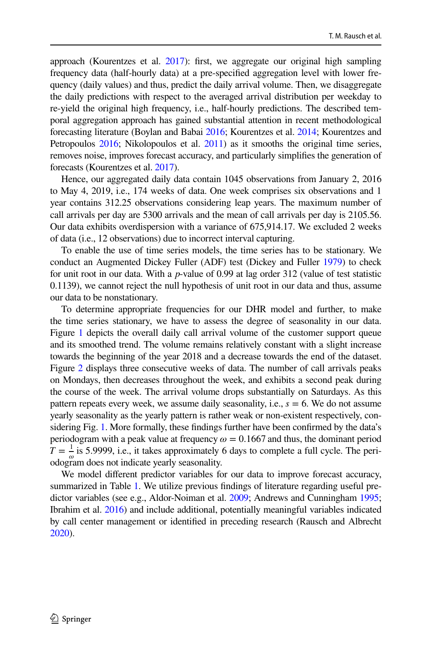approach (Kourentzes et al. [2017\)](#page-30-18): first, we aggregate our original high sampling frequency data (half-hourly data) at a pre-specifed aggregation level with lower frequency (daily values) and thus, predict the daily arrival volume. Then, we disaggregate the daily predictions with respect to the averaged arrival distribution per weekday to re-yield the original high frequency, i.e., half-hourly predictions. The described temporal aggregation approach has gained substantial attention in recent methodological forecasting literature (Boylan and Babai [2016;](#page-29-20) Kourentzes et al. [2014](#page-30-19); Kourentzes and Petropoulos [2016](#page-29-21); Nikolopoulos et al. [2011](#page-30-20)) as it smooths the original time series, removes noise, improves forecast accuracy, and particularly simplifes the generation of forecasts (Kourentzes et al. [2017](#page-30-18)).

Hence, our aggregated daily data contain 1045 observations from January 2, 2016 to May 4, 2019, i.e., 174 weeks of data. One week comprises six observations and 1 year contains 312.25 observations considering leap years. The maximum number of call arrivals per day are 5300 arrivals and the mean of call arrivals per day is 2105.56. Our data exhibits overdispersion with a variance of 675,914.17. We excluded 2 weeks of data (i.e., 12 observations) due to incorrect interval capturing.

To enable the use of time series models, the time series has to be stationary. We conduct an Augmented Dickey Fuller (ADF) test (Dickey and Fuller [1979](#page-29-22)) to check for unit root in our data. With a *p*-value of 0.99 at lag order 312 (value of test statistic 0.1139), we cannot reject the null hypothesis of unit root in our data and thus, assume our data to be nonstationary.

To determine appropriate frequencies for our DHR model and further, to make the time series stationary, we have to assess the degree of seasonality in our data. Figure [1](#page-8-0) depicts the overall daily call arrival volume of the customer support queue and its smoothed trend. The volume remains relatively constant with a slight increase towards the beginning of the year 2018 and a decrease towards the end of the dataset. Figure [2](#page-9-0) displays three consecutive weeks of data. The number of call arrivals peaks on Mondays, then decreases throughout the week, and exhibits a second peak during the course of the week. The arrival volume drops substantially on Saturdays. As this pattern repeats every week, we assume daily seasonality, i.e., *s* = 6. We do not assume yearly seasonality as the yearly pattern is rather weak or non-existent respectively, considering Fig. [1](#page-8-0). More formally, these fndings further have been confrmed by the data's periodogram with a peak value at frequency  $\omega = 0.1667$  and thus, the dominant period  $T = \frac{1}{\omega}$  is 5.9999, i.e., it takes approximately 6 days to complete a full cycle. The periodogram does not indicate yearly seasonality.

We model diferent predictor variables for our data to improve forecast accuracy, summarized in Table [1.](#page-10-0) We utilize previous fndings of literature regarding useful predictor variables (see e.g., Aldor-Noiman et al. [2009;](#page-28-4) Andrews and Cunningham [1995;](#page-28-1) Ibrahim et al. [2016\)](#page-29-5) and include additional, potentially meaningful variables indicated by call center management or identifed in preceding research (Rausch and Albrecht [2020](#page-30-11)).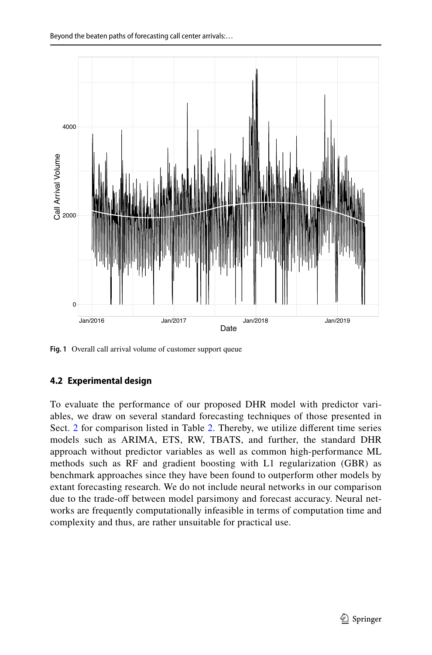

<span id="page-8-0"></span>**Fig. 1** Overall call arrival volume of customer support queue

### <span id="page-8-1"></span>**4.2 Experimental design**

To evaluate the performance of our proposed DHR model with predictor variables, we draw on several standard forecasting techniques of those presented in Sect. [2](#page-2-0) for comparison listed in Table [2.](#page-11-0) Thereby, we utilize different time series models such as ARIMA, ETS, RW, TBATS, and further, the standard DHR approach without predictor variables as well as common high-performance ML methods such as RF and gradient boosting with L1 regularization (GBR) as benchmark approaches since they have been found to outperform other models by extant forecasting research. We do not include neural networks in our comparison due to the trade-off between model parsimony and forecast accuracy. Neural networks are frequently computationally infeasible in terms of computation time and complexity and thus, are rather unsuitable for practical use.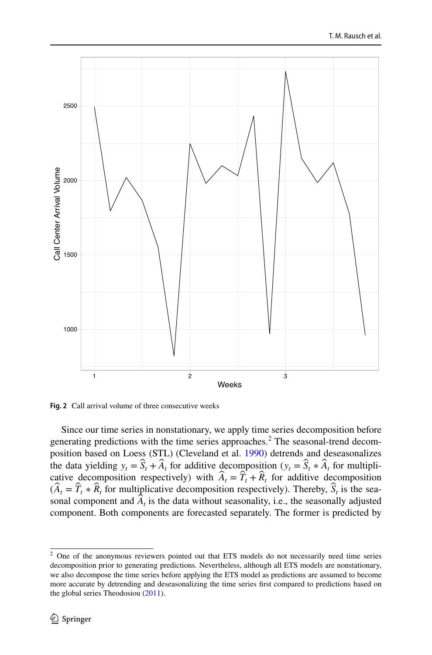

<span id="page-9-0"></span>**Fig. 2** Call arrival volume of three consecutive weeks

Since our time series in nonstationary, we apply time series decomposition before generating predictions with the time series approaches.<sup>[2](#page-9-1)</sup> The seasonal-trend decomposition based on Loess (STL) (Cleveland et al. [1990\)](#page-29-23) detrends and deseasonalizes the data yielding  $y_t = \hat{S}_t + \hat{A}_t$  for additive decomposition  $(y_t = \hat{S}_t * \hat{A}_t$  for multiplicative decomposition respectively) with  $\hat{A}_t = \hat{T}_t + \hat{R}_t$  for additive decomposition  $(\hat{A}_t = \hat{T}_t * \hat{R}_t)$  for multiplicative decomposition respectively). Thereby,  $\hat{S}_t$  is the seasonal component and  $\hat{A}_t$  is the data without seasonality, i.e., the seasonally adjusted component. Both components are forecasted separately. The former is predicted by

<span id="page-9-1"></span><sup>&</sup>lt;sup>2</sup> One of the anonymous reviewers pointed out that ETS models do not necessarily need time series decomposition prior to generating predictions. Nevertheless, although all ETS models are nonstationary, we also decompose the time series before applying the ETS model as predictions are assumed to become more accurate by detrending and deseasonalizing the time series frst compared to predictions based on the global series Theodosiou ([2011\)](#page-30-21).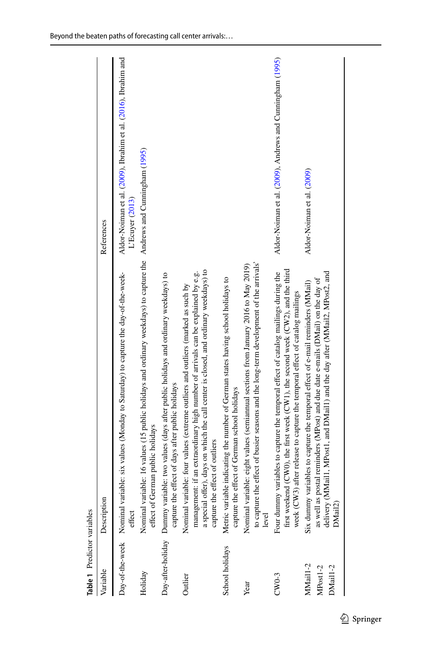<span id="page-10-0"></span>

| <b>Table 1</b> Predictor variables |                                                                                                                                                                                                                                                                                                   |                                                                                   |
|------------------------------------|---------------------------------------------------------------------------------------------------------------------------------------------------------------------------------------------------------------------------------------------------------------------------------------------------|-----------------------------------------------------------------------------------|
| Variable                           | Description                                                                                                                                                                                                                                                                                       | References                                                                        |
|                                    | Day-of-the-week Nominal variable: six values (Monday to Saturday) to capture the day-of-the-week-<br>effect                                                                                                                                                                                       | Aldor-Noiman et al. (2009), Ibrahim et al. (2016), Ibrahim and<br>L'Ecuyer (2013) |
| Holiday                            | Nominal variable: 16 values (15 public holidays and ordinary weekdays) to capture the Andrews and Cumingham (1995)<br>effect of German public holidays                                                                                                                                            |                                                                                   |
|                                    | Day-after-holiday Dummy variable: two values (days after public holidays and ordinary weekdays) to<br>capture the effect of days after public holidays                                                                                                                                            |                                                                                   |
| Outlier                            | a special offer), days on which the call center is closed, and ordinary weekdays) to<br>management: if an extraordinary high number of arrivals can be explained by e.g.<br>iable: four values (extreme outliers and outliers (marked as such by<br>capture the effect of outliers<br>Nominal var |                                                                                   |
| School holidays                    | Metric variable indicating the number of German states having school holidays to<br>capture the effect of German school holidays                                                                                                                                                                  |                                                                                   |
| Year                               | to capture the effect of busier seasons and the long-term development of the arrivals'<br>Nominal variable: eight values (semiannual sections from January 2016 to May 2019)<br>level                                                                                                             |                                                                                   |
| $CWO-3$                            | first weekend (CW0), the first week (CW1), the second week (CW2), and the third<br>Four dummy variables to capture the temporal effect of catalog mailings during the<br>week $(CW3)$ after release to capture the temporal effect of catalog mailings                                            | Aldor-Noiman et al. (2009), Andrews and Cunningham (1995)                         |
| MMai1-2<br>MPost1-2<br>DMail1-2    | delivery (MMail1, MPost1, and DMail1) and the day after (MMail2, MPost2, and<br>postal reminders (MPost) and due date e-mails (DMail) on the day of<br>Six dummy variables to capture the temporal effect of e-mail reminders (MMail)<br>as well as<br>DMail2)                                    | Aldor-Noiman et al. (2009)                                                        |
|                                    |                                                                                                                                                                                                                                                                                                   |                                                                                   |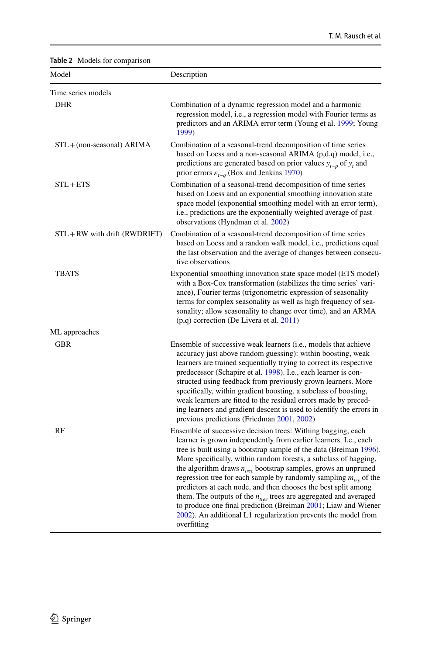| Model                         | Description                                                                                                                                                                                                                                                                                                                                                                                                                                                                                                                                                                                                                                                                                                                 |
|-------------------------------|-----------------------------------------------------------------------------------------------------------------------------------------------------------------------------------------------------------------------------------------------------------------------------------------------------------------------------------------------------------------------------------------------------------------------------------------------------------------------------------------------------------------------------------------------------------------------------------------------------------------------------------------------------------------------------------------------------------------------------|
| Time series models            |                                                                                                                                                                                                                                                                                                                                                                                                                                                                                                                                                                                                                                                                                                                             |
| <b>DHR</b>                    | Combination of a dynamic regression model and a harmonic<br>regression model, i.e., a regression model with Fourier terms as<br>predictors and an ARIMA error term (Young et al. 1999; Young<br>1999)                                                                                                                                                                                                                                                                                                                                                                                                                                                                                                                       |
| STL + (non-seasonal) ARIMA    | Combination of a seasonal-trend decomposition of time series<br>based on Loess and a non-seasonal ARIMA $(p,d,q)$ model, i.e.,<br>predictions are generated based on prior values $y_{t-p}$ of $y_t$ and<br>prior errors $\varepsilon_{t-q}$ (Box and Jenkins 1970)                                                                                                                                                                                                                                                                                                                                                                                                                                                         |
| $STL + ETS$                   | Combination of a seasonal-trend decomposition of time series<br>based on Loess and an exponential smoothing innovation state<br>space model (exponential smoothing model with an error term),<br>i.e., predictions are the exponentially weighted average of past<br>observations (Hyndman et al. 2002)                                                                                                                                                                                                                                                                                                                                                                                                                     |
| STL + RW with drift (RWDRIFT) | Combination of a seasonal-trend decomposition of time series<br>based on Loess and a random walk model, <i>i.e.</i> , predictions equal<br>the last observation and the average of changes between consecu-<br>tive observations                                                                                                                                                                                                                                                                                                                                                                                                                                                                                            |
| <b>TBATS</b>                  | Exponential smoothing innovation state space model (ETS model)<br>with a Box-Cox transformation (stabilizes the time series' vari-<br>ance), Fourier terms (trigonometric expression of seasonality<br>terms for complex seasonality as well as high frequency of sea-<br>sonality; allow seasonality to change over time), and an ARMA<br>(p,q) correction (De Livera et al. 2011)                                                                                                                                                                                                                                                                                                                                         |
| ML approaches                 |                                                                                                                                                                                                                                                                                                                                                                                                                                                                                                                                                                                                                                                                                                                             |
| <b>GBR</b>                    | Ensemble of successive weak learners ( <i>i.e.</i> , models that achieve<br>accuracy just above random guessing): within boosting, weak<br>learners are trained sequentially trying to correct its respective<br>predecessor (Schapire et al. 1998). I.e., each learner is con-<br>structed using feedback from previously grown learners. More<br>specifically, within gradient boosting, a subclass of boosting,<br>weak learners are fitted to the residual errors made by preced-<br>ing learners and gradient descent is used to identify the errors in<br>previous predictions (Friedman 2001, 2002)                                                                                                                  |
| RF                            | Ensemble of successive decision trees: Withing bagging, each<br>learner is grown independently from earlier learners. I.e., each<br>tree is built using a bootstrap sample of the data (Breiman 1996).<br>More specifically, within random forests, a subclass of bagging,<br>the algorithm draws $n_{tree}$ bootstrap samples, grows an unpruned<br>regression tree for each sample by randomly sampling $m_{\mu\nu}$ of the<br>predictors at each node, and then chooses the best split among<br>them. The outputs of the $n_{tree}$ trees are aggregated and averaged<br>to produce one final prediction (Breiman 2001; Liaw and Wiener<br>2002). An additional L1 regularization prevents the model from<br>overfitting |

### <span id="page-11-0"></span>**Table 2** Models for comparison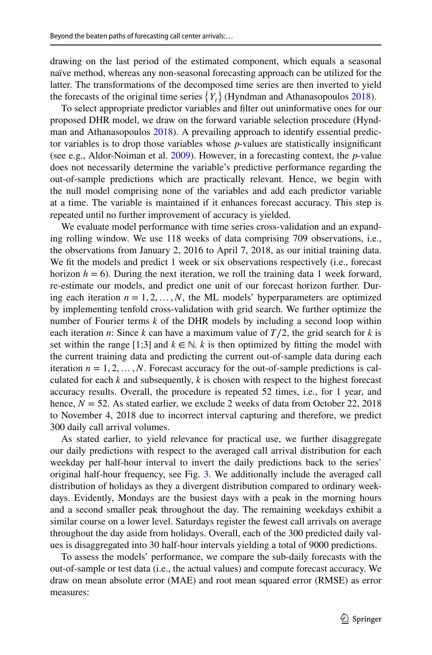drawing on the last period of the estimated component, which equals a seasonal naïve method, whereas any non-seasonal forecasting approach can be utilized for the latter. The transformations of the decomposed time series are then inverted to yield the forecasts of the original time series  $\{Y_t\}$  (Hyndman and Athanasopoulos [2018\)](#page-29-19).

To select appropriate predictor variables and flter out uninformative ones for our proposed DHR model, we draw on the forward variable selection procedure (Hyndman and Athanasopoulos [2018](#page-29-19)). A prevailing approach to identify essential predictor variables is to drop those variables whose *p*-values are statistically insignifcant (see e.g., Aldor-Noiman et al. [2009\)](#page-28-4). However, in a forecasting context, the *p*-value does not necessarily determine the variable's predictive performance regarding the out-of-sample predictions which are practically relevant. Hence, we begin with the null model comprising none of the variables and add each predictor variable at a time. The variable is maintained if it enhances forecast accuracy. This step is repeated until no further improvement of accuracy is yielded.

We evaluate model performance with time series cross-validation and an expanding rolling window. We use 118 weeks of data comprising 709 observations, i.e., the observations from January 2, 2016 to April 7, 2018, as our initial training data. We fit the models and predict 1 week or six observations respectively (i.e., forecast horizon  $h = 6$ ). During the next iteration, we roll the training data 1 week forward, re-estimate our models, and predict one unit of our forecast horizon further. During each iteration  $n = 1, 2, ..., N$ , the ML models' hyperparameters are optimized by implementing tenfold cross-validation with grid search. We further optimize the number of Fourier terms *k* of the DHR models by including a second loop within each iteration *n*: Since *k* can have a maximum value of  $T/2$ , the grid search for *k* is set within the range [1;3] and  $k \in \mathbb{N}$ . *k* is then optimized by fitting the model with the current training data and predicting the current out-of-sample data during each iteration  $n = 1, 2, \ldots, N$ . Forecast accuracy for the out-of-sample predictions is calculated for each  $k$  and subsequently,  $k$  is chosen with respect to the highest forecast accuracy results. Overall, the procedure is repeated 52 times, i.e., for 1 year, and hence,  $N = 52$ . As stated earlier, we exclude 2 weeks of data from October 22, 2018 to November 4, 2018 due to incorrect interval capturing and therefore, we predict 300 daily call arrival volumes.

As stated earlier, to yield relevance for practical use, we further disaggregate our daily predictions with respect to the averaged call arrival distribution for each weekday per half-hour interval to invert the daily predictions back to the series' original half-hour frequency, see Fig. [3](#page-13-0). We additionally include the averaged call distribution of holidays as they a divergent distribution compared to ordinary weekdays. Evidently, Mondays are the busiest days with a peak in the morning hours and a second smaller peak throughout the day. The remaining weekdays exhibit a similar course on a lower level. Saturdays register the fewest call arrivals on average throughout the day aside from holidays. Overall, each of the 300 predicted daily values is disaggregated into 30 half-hour intervals yielding a total of 9000 predictions.

To assess the models' performance, we compare the sub-daily forecasts with the out-of-sample or test data (i.e., the actual values) and compute forecast accuracy. We draw on mean absolute error (MAE) and root mean squared error (RMSE) as error measures: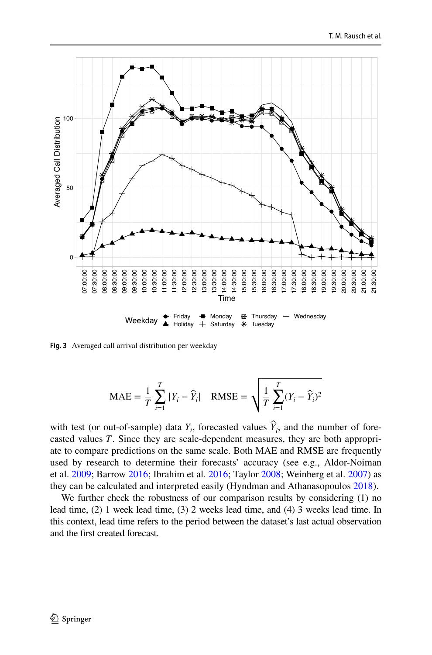

<span id="page-13-0"></span>**Fig. 3** Averaged call arrival distribution per weekday

$$
\text{MAE} = \frac{1}{T} \sum_{i=1}^{T} |Y_i - \hat{Y}_i| \quad \text{RMSE} = \sqrt{\frac{1}{T} \sum_{i=1}^{T} (Y_i - \hat{Y}_i)^2}
$$

with test (or out-of-sample) data  $Y_i$ , forecasted values  $\hat{Y}_i$ , and the number of forecasted values *T*. Since they are scale-dependent measures, they are both appropriate to compare predictions on the same scale. Both MAE and RMSE are frequently used by research to determine their forecasts' accuracy (see e.g., Aldor-Noiman et al. [2009;](#page-28-4) Barrow [2016;](#page-28-2) Ibrahim et al. [2016](#page-29-5); Taylor [2008;](#page-30-7) Weinberg et al. [2007](#page-30-15)) as they can be calculated and interpreted easily (Hyndman and Athanasopoulos [2018\)](#page-29-19).

We further check the robustness of our comparison results by considering (1) no lead time, (2) 1 week lead time, (3) 2 weeks lead time, and (4) 3 weeks lead time. In this context, lead time refers to the period between the dataset's last actual observation and the frst created forecast.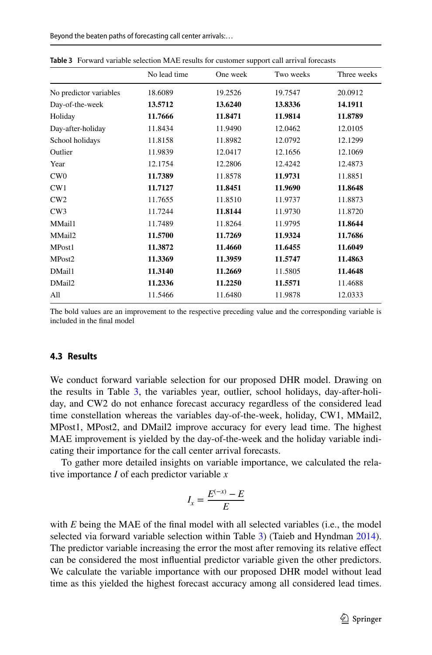|                        | . .          |          |           |             |  |
|------------------------|--------------|----------|-----------|-------------|--|
|                        | No lead time | One week | Two weeks | Three weeks |  |
| No predictor variables | 18.6089      | 19.2526  | 19.7547   | 20.0912     |  |
| Day-of-the-week        | 13.5712      | 13.6240  | 13.8336   | 14.1911     |  |
| Holiday                | 11.7666      | 11.8471  | 11.9814   | 11.8789     |  |
| Day-after-holiday      | 11.8434      | 11.9490  | 12.0462   | 12.0105     |  |
| School holidays        | 11.8158      | 11.8982  | 12.0792   | 12.1299     |  |
| Outlier                | 11.9839      | 12.0417  | 12.1656   | 12.1069     |  |
| Year                   | 12.1754      | 12.2806  | 12.4242   | 12.4873     |  |
| CW0                    | 11.7389      | 11.8578  | 11.9731   | 11.8851     |  |
| CW1                    | 11.7127      | 11.8451  | 11.9690   | 11.8648     |  |
| CW2                    | 11.7655      | 11.8510  | 11.9737   | 11.8873     |  |
| CW3                    | 11.7244      | 11.8144  | 11.9730   | 11.8720     |  |
| MMail1                 | 11.7489      | 11.8264  | 11.9795   | 11.8644     |  |
| MMail2                 | 11.5700      | 11.7269  | 11.9324   | 11.7686     |  |
| MPost1                 | 11.3872      | 11.4660  | 11.6455   | 11.6049     |  |
| MPost2                 | 11.3369      | 11.3959  | 11.5747   | 11.4863     |  |
| DMail1                 | 11.3140      | 11.2669  | 11.5805   | 11.4648     |  |
| DMail2                 | 11.2336      | 11.2250  | 11.5571   | 11.4688     |  |
| All                    | 11.5466      | 11.6480  | 11.9878   | 12.0333     |  |
|                        |              |          |           |             |  |

<span id="page-14-0"></span>**Table 3** Forward variable selection MAE results for customer support call arrival forecasts

The bold values are an improvement to the respective preceding value and the corresponding variable is included in the fnal model

#### **4.3 Results**

We conduct forward variable selection for our proposed DHR model. Drawing on the results in Table [3](#page-14-0), the variables year, outlier, school holidays, day-after-holiday, and CW2 do not enhance forecast accuracy regardless of the considered lead time constellation whereas the variables day-of-the-week, holiday, CW1, MMail2, MPost1, MPost2, and DMail2 improve accuracy for every lead time. The highest MAE improvement is yielded by the day-of-the-week and the holiday variable indicating their importance for the call center arrival forecasts.

To gather more detailed insights on variable importance, we calculated the relative importance *I* of each predictor variable *x*

$$
I_x = \frac{E^{(-x)} - E}{E}
$$

with *E* being the MAE of the final model with all selected variables (i.e., the model selected via forward variable selection within Table [3\)](#page-14-0) (Taieb and Hyndman [2014\)](#page-30-24). The predictor variable increasing the error the most after removing its relative efect can be considered the most infuential predictor variable given the other predictors. We calculate the variable importance with our proposed DHR model without lead time as this yielded the highest forecast accuracy among all considered lead times.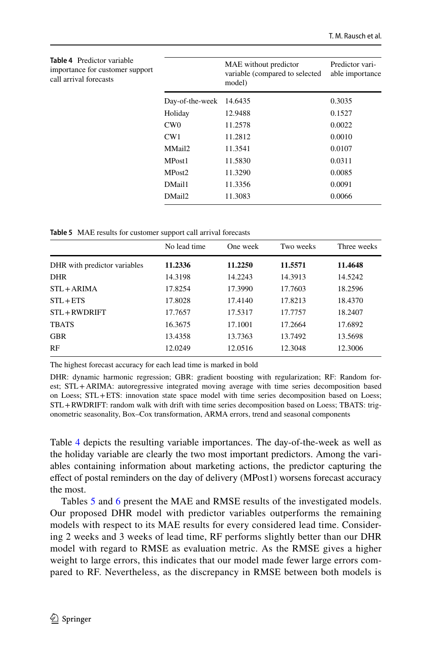<span id="page-15-0"></span>

| <b>Table 4</b> Predictor variable<br>importance for customer support<br>call arrival forecasts |                    | MAE without predictor<br>variable (compared to selected<br>model) | Predictor vari-<br>able importance |
|------------------------------------------------------------------------------------------------|--------------------|-------------------------------------------------------------------|------------------------------------|
|                                                                                                | Day-of-the-week    | 14.6435                                                           | 0.3035                             |
|                                                                                                | Holiday            | 12.9488                                                           | 0.1527                             |
|                                                                                                | CW0                | 11.2578                                                           | 0.0022                             |
|                                                                                                | CW1                | 11.2812                                                           | 0.0010                             |
|                                                                                                | MMail2             | 11.3541                                                           | 0.0107                             |
|                                                                                                | MPost1             | 11.5830                                                           | 0.0311                             |
|                                                                                                | MPost <sub>2</sub> | 11.3290                                                           | 0.0085                             |
|                                                                                                | DMail1             | 11.3356                                                           | 0.0091                             |
|                                                                                                | DMail2             | 11.3083                                                           | 0.0066                             |

<span id="page-15-1"></span>**Table 5** MAE results for customer support call arrival forecasts

|                              | No lead time | One week | Two weeks | Three weeks |
|------------------------------|--------------|----------|-----------|-------------|
| DHR with predictor variables | 11.2336      | 11.2250  | 11.5571   | 11.4648     |
| <b>DHR</b>                   | 14.3198      | 14.2243  | 14.3913   | 14.5242     |
| $STL + ARIMA$                | 17.8254      | 17.3990  | 17.7603   | 18.2596     |
| $STL + ETS$                  | 17.8028      | 17.4140  | 17.8213   | 18.4370     |
| STL+RWDRIFT                  | 17.7657      | 17.5317  | 17.7757   | 18.2407     |
| <b>TBATS</b>                 | 16.3675      | 17.1001  | 17.2664   | 17.6892     |
| <b>GBR</b>                   | 13.4358      | 13.7363  | 13.7492   | 13.5698     |
| RF                           | 12.0249      | 12.0516  | 12.3048   | 12.3006     |

The highest forecast accuracy for each lead time is marked in bold

DHR: dynamic harmonic regression; GBR: gradient boosting with regularization; RF: Random forest; STL+ARIMA: autoregressive integrated moving average with time series decomposition based on Loess; STL+ETS: innovation state space model with time series decomposition based on Loess; STL+RWDRIFT: random walk with drift with time series decomposition based on Loess; TBATS: trigonometric seasonality, Box–Cox transformation, ARMA errors, trend and seasonal components

Table [4](#page-15-0) depicts the resulting variable importances. The day-of-the-week as well as the holiday variable are clearly the two most important predictors. Among the variables containing information about marketing actions, the predictor capturing the efect of postal reminders on the day of delivery (MPost1) worsens forecast accuracy the most.

Tables [5](#page-15-1) and [6](#page-16-0) present the MAE and RMSE results of the investigated models. Our proposed DHR model with predictor variables outperforms the remaining models with respect to its MAE results for every considered lead time. Considering 2 weeks and 3 weeks of lead time, RF performs slightly better than our DHR model with regard to RMSE as evaluation metric. As the RMSE gives a higher weight to large errors, this indicates that our model made fewer large errors compared to RF. Nevertheless, as the discrepancy in RMSE between both models is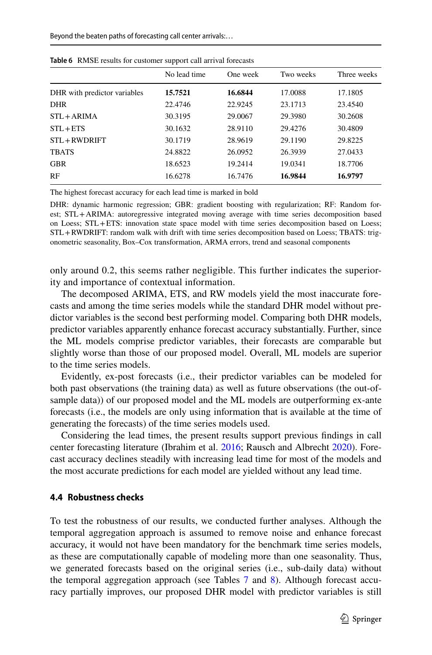|                              | No lead time | One week | Two weeks | Three weeks |
|------------------------------|--------------|----------|-----------|-------------|
| DHR with predictor variables | 15.7521      | 16.6844  | 17.0088   | 17.1805     |
| <b>DHR</b>                   | 22.4746      | 22.9245  | 23.1713   | 23.4540     |
| $STL + ARIMA$                | 30.3195      | 29.0067  | 29.3980   | 30.2608     |
| $STL + ETS$                  | 30.1632      | 28.9110  | 29.4276   | 30.4809     |
| STL+RWDRIFT                  | 30.1719      | 28.9619  | 29.1190   | 29.8225     |
| <b>TBATS</b>                 | 24.8822      | 26.0952  | 26.3939   | 27.0433     |
| <b>GBR</b>                   | 18.6523      | 19.2414  | 19.0341   | 18.7706     |
| RF                           | 16.6278      | 16.7476  | 16.9844   | 16.9797     |

<span id="page-16-0"></span>**Table 6** RMSE results for customer support call arrival forecasts

The highest forecast accuracy for each lead time is marked in bold

DHR: dynamic harmonic regression; GBR: gradient boosting with regularization; RF: Random forest; STL+ARIMA: autoregressive integrated moving average with time series decomposition based on Loess; STL+ETS: innovation state space model with time series decomposition based on Loess; STL+RWDRIFT: random walk with drift with time series decomposition based on Loess; TBATS: trigonometric seasonality, Box–Cox transformation, ARMA errors, trend and seasonal components

only around 0.2, this seems rather negligible. This further indicates the superiority and importance of contextual information.

The decomposed ARIMA, ETS, and RW models yield the most inaccurate forecasts and among the time series models while the standard DHR model without predictor variables is the second best performing model. Comparing both DHR models, predictor variables apparently enhance forecast accuracy substantially. Further, since the ML models comprise predictor variables, their forecasts are comparable but slightly worse than those of our proposed model. Overall, ML models are superior to the time series models.

Evidently, ex-post forecasts (i.e., their predictor variables can be modeled for both past observations (the training data) as well as future observations (the out-ofsample data)) of our proposed model and the ML models are outperforming ex-ante forecasts (i.e., the models are only using information that is available at the time of generating the forecasts) of the time series models used.

Considering the lead times, the present results support previous fndings in call center forecasting literature (Ibrahim et al. [2016;](#page-29-5) Rausch and Albrecht [2020\)](#page-30-11). Forecast accuracy declines steadily with increasing lead time for most of the models and the most accurate predictions for each model are yielded without any lead time.

### **4.4 Robustness checks**

To test the robustness of our results, we conducted further analyses. Although the temporal aggregation approach is assumed to remove noise and enhance forecast accuracy, it would not have been mandatory for the benchmark time series models, as these are computationally capable of modeling more than one seasonality. Thus, we generated forecasts based on the original series (i.e., sub-daily data) without the temporal aggregation approach (see Tables  $7$  and  $8$ ). Although forecast accuracy partially improves, our proposed DHR model with predictor variables is still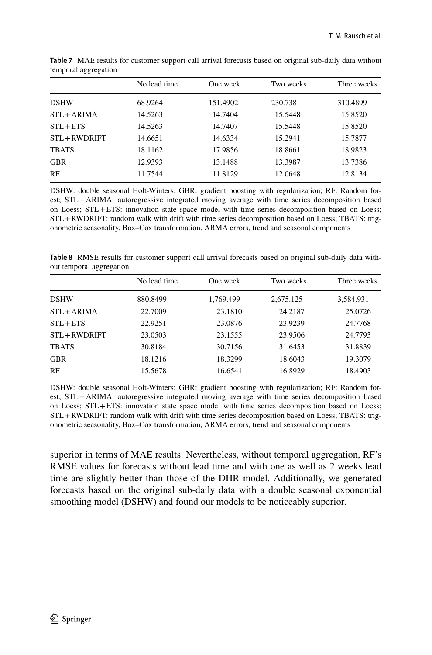|               | No lead time | One week | Two weeks | Three weeks |
|---------------|--------------|----------|-----------|-------------|
| <b>DSHW</b>   | 68.9264      | 151.4902 | 230.738   | 310.4899    |
| $STL + ARIMA$ | 14.5263      | 14.7404  | 15.5448   | 15.8520     |
| $STL + ETS$   | 14.5263      | 14.7407  | 15.5448   | 15.8520     |
| STL+RWDRIFT   | 14.6651      | 14.6334  | 15.2941   | 15.7877     |
| <b>TBATS</b>  | 18.1162      | 17.9856  | 18.8661   | 18.9823     |
| <b>GBR</b>    | 12.9393      | 13.1488  | 13.3987   | 13.7386     |
| RF            | 11.7544      | 11.8129  | 12.0648   | 12.8134     |

<span id="page-17-0"></span>**Table 7** MAE results for customer support call arrival forecasts based on original sub-daily data without temporal aggregation

DSHW: double seasonal Holt-Winters; GBR: gradient boosting with regularization; RF: Random forest; STL+ARIMA: autoregressive integrated moving average with time series decomposition based on Loess; STL+ETS: innovation state space model with time series decomposition based on Loess; STL+RWDRIFT: random walk with drift with time series decomposition based on Loess; TBATS: trigonometric seasonality, Box–Cox transformation, ARMA errors, trend and seasonal components

<span id="page-17-1"></span>**Table 8** RMSE results for customer support call arrival forecasts based on original sub-daily data without temporal aggregation

| No lead time | One week  | Two weeks | Three weeks |
|--------------|-----------|-----------|-------------|
| 880.8499     | 1,769.499 | 2,675.125 | 3,584.931   |
| 22.7009      | 23.1810   | 24.2187   | 25.0726     |
| 22.9251      | 23.0876   | 23.9239   | 24.7768     |
| 23.0503      | 23.1555   | 23.9506   | 24.7793     |
| 30.8184      | 30.7156   | 31.6453   | 31.8839     |
| 18.1216      | 18.3299   | 18.6043   | 19.3079     |
| 15.5678      | 16.6541   | 16.8929   | 18.4903     |
|              |           |           |             |

DSHW: double seasonal Holt-Winters; GBR: gradient boosting with regularization; RF: Random forest; STL+ARIMA: autoregressive integrated moving average with time series decomposition based on Loess; STL+ETS: innovation state space model with time series decomposition based on Loess; STL+RWDRIFT: random walk with drift with time series decomposition based on Loess; TBATS: trigonometric seasonality, Box–Cox transformation, ARMA errors, trend and seasonal components

superior in terms of MAE results. Nevertheless, without temporal aggregation, RF's RMSE values for forecasts without lead time and with one as well as 2 weeks lead time are slightly better than those of the DHR model. Additionally, we generated forecasts based on the original sub-daily data with a double seasonal exponential smoothing model (DSHW) and found our models to be noticeably superior.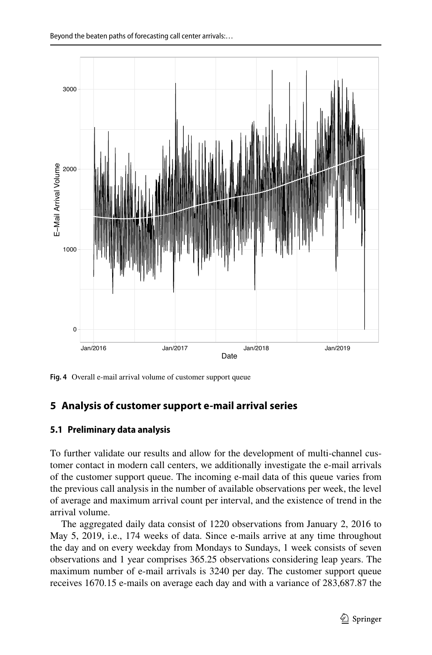

<span id="page-18-1"></span>**Fig. 4** Overall e-mail arrival volume of customer support queue

### <span id="page-18-0"></span>**5 Analysis of customer support e‑mail arrival series**

### **5.1 Preliminary data analysis**

To further validate our results and allow for the development of multi-channel customer contact in modern call centers, we additionally investigate the e-mail arrivals of the customer support queue. The incoming e-mail data of this queue varies from the previous call analysis in the number of available observations per week, the level of average and maximum arrival count per interval, and the existence of trend in the arrival volume.

The aggregated daily data consist of 1220 observations from January 2, 2016 to May 5, 2019, i.e., 174 weeks of data. Since e-mails arrive at any time throughout the day and on every weekday from Mondays to Sundays, 1 week consists of seven observations and 1 year comprises 365.25 observations considering leap years. The maximum number of e-mail arrivals is 3240 per day. The customer support queue receives 1670.15 e-mails on average each day and with a variance of 283,687.87 the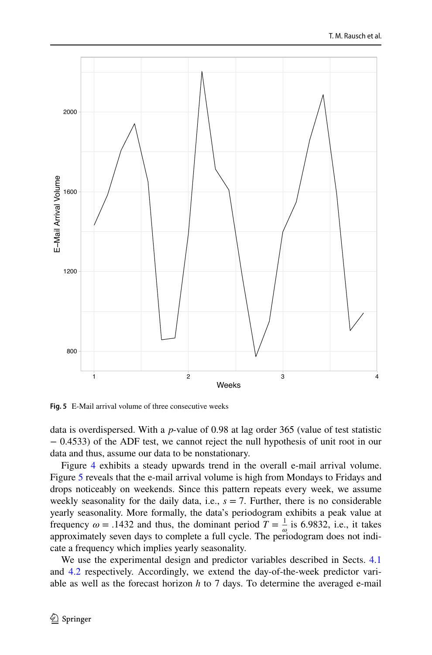

<span id="page-19-0"></span>**Fig. 5** E-Mail arrival volume of three consecutive weeks

data is overdispersed. With a *p*-value of 0.98 at lag order 365 (value of test statistic − 0.4533) of the ADF test, we cannot reject the null hypothesis of unit root in our data and thus, assume our data to be nonstationary.

Figure [4](#page-18-1) exhibits a steady upwards trend in the overall e-mail arrival volume. Figure [5](#page-19-0) reveals that the e-mail arrival volume is high from Mondays to Fridays and drops noticeably on weekends. Since this pattern repeats every week, we assume weekly seasonality for the daily data, i.e.,  $s = 7$ . Further, there is no considerable yearly seasonality. More formally, the data's periodogram exhibits a peak value at frequency  $\omega = .1432$  and thus, the dominant period  $T = \frac{1}{\omega}$  is 6.9832, i.e., it takes approximately seven days to complete a full cycle. The periodogram does not indicate a frequency which implies yearly seasonality.

We use the experimental design and predictor variables described in Sects. [4.1](#page-6-3) and [4.2](#page-8-1) respectively. Accordingly, we extend the day-of-the-week predictor variable as well as the forecast horizon *h* to 7 days. To determine the averaged e-mail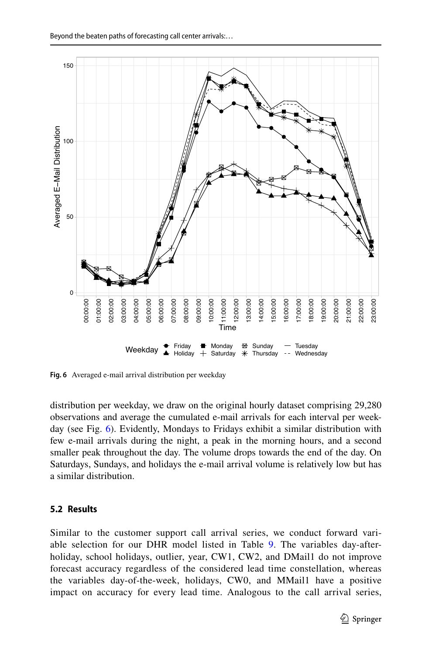

<span id="page-20-0"></span>**Fig. 6** Averaged e-mail arrival distribution per weekday

distribution per weekday, we draw on the original hourly dataset comprising 29,280 observations and average the cumulated e-mail arrivals for each interval per weekday (see Fig. [6](#page-20-0)). Evidently, Mondays to Fridays exhibit a similar distribution with few e-mail arrivals during the night, a peak in the morning hours, and a second smaller peak throughout the day. The volume drops towards the end of the day. On Saturdays, Sundays, and holidays the e-mail arrival volume is relatively low but has a similar distribution.

### **5.2 Results**

Similar to the customer support call arrival series, we conduct forward vari-able selection for our DHR model listed in Table [9](#page-21-0). The variables day-afterholiday, school holidays, outlier, year, CW1, CW2, and DMail1 do not improve forecast accuracy regardless of the considered lead time constellation, whereas the variables day-of-the-week, holidays, CW0, and MMail1 have a positive impact on accuracy for every lead time. Analogous to the call arrival series,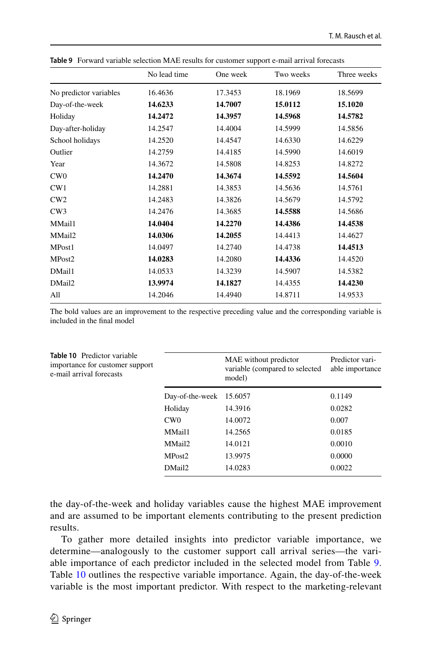|                        | No lead time | One week | Two weeks | Three weeks |
|------------------------|--------------|----------|-----------|-------------|
| No predictor variables | 16.4636      | 17.3453  | 18.1969   | 18.5699     |
| Day-of-the-week        | 14.6233      | 14.7007  | 15.0112   | 15.1020     |
| Holiday                | 14.2472      | 14.3957  | 14.5968   | 14.5782     |
| Day-after-holiday      | 14.2547      | 14.4004  | 14.5999   | 14.5856     |
| School holidays        | 14.2520      | 14.4547  | 14.6330   | 14.6229     |
| Outlier                | 14.2759      | 14.4185  | 14.5990   | 14.6019     |
| Year                   | 14.3672      | 14.5808  | 14.8253   | 14.8272     |
| CW0                    | 14.2470      | 14.3674  | 14.5592   | 14.5604     |
| CW1                    | 14.2881      | 14.3853  | 14.5636   | 14.5761     |
| CW2                    | 14.2483      | 14.3826  | 14.5679   | 14.5792     |
| CW3                    | 14.2476      | 14.3685  | 14.5588   | 14.5686     |
| MMail1                 | 14.0404      | 14.2270  | 14.4386   | 14.4538     |
| MMail2                 | 14.0306      | 14.2055  | 14.4413   | 14.4627     |
| MPost1                 | 14.0497      | 14.2740  | 14.4738   | 14.4513     |
| MPost <sub>2</sub>     | 14.0283      | 14.2080  | 14.4336   | 14.4520     |
| DMail1                 | 14.0533      | 14.3239  | 14.5907   | 14.5382     |
| DMail2                 | 13.9974      | 14.1827  | 14.4355   | 14.4230     |
| All                    | 14.2046      | 14.4940  | 14.8711   | 14.9533     |

<span id="page-21-0"></span>**Table 9** Forward variable selection MAE results for customer support e-mail arrival forecasts

The bold values are an improvement to the respective preceding value and the corresponding variable is included in the fnal model

<span id="page-21-1"></span>

| <b>Table 10</b> Predictor variable<br>importance for customer support<br>e-mail arrival forecasts |                         | MAE without predictor<br>variable (compared to selected<br>model) | Predictor vari-<br>able importance |
|---------------------------------------------------------------------------------------------------|-------------------------|-------------------------------------------------------------------|------------------------------------|
|                                                                                                   | Day-of-the-week 15.6057 |                                                                   | 0.1149                             |
|                                                                                                   | Holiday                 | 14.3916                                                           | 0.0282                             |
|                                                                                                   | CW0                     | 14.0072                                                           | 0.007                              |
|                                                                                                   | MMail1                  | 14.2565                                                           | 0.0185                             |
|                                                                                                   | MMail2                  | 14.0121                                                           | 0.0010                             |
|                                                                                                   | MPost <sub>2</sub>      | 13.9975                                                           | 0.0000                             |
|                                                                                                   | DMail2                  | 14.0283                                                           | 0.0022                             |
|                                                                                                   |                         |                                                                   |                                    |

the day-of-the-week and holiday variables cause the highest MAE improvement and are assumed to be important elements contributing to the present prediction results.

To gather more detailed insights into predictor variable importance, we determine—analogously to the customer support call arrival series—the variable importance of each predictor included in the selected model from Table [9.](#page-21-0) Table [10](#page-21-1) outlines the respective variable importance. Again, the day-of-the-week variable is the most important predictor. With respect to the marketing-relevant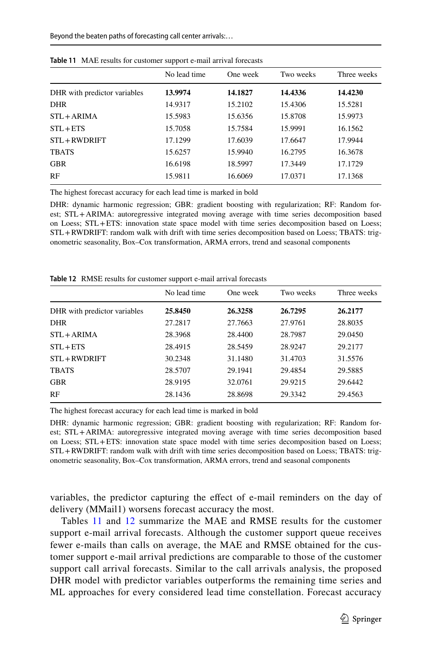|                              | . .<br>No lead time | One week | Two weeks | Three weeks |
|------------------------------|---------------------|----------|-----------|-------------|
| DHR with predictor variables | 13.9974             | 14.1827  | 14.4336   | 14.4230     |
| <b>DHR</b>                   | 14.9317             | 15.2102  | 15.4306   | 15.5281     |
| $STL + ARIMA$                | 15.5983             | 15.6356  | 15.8708   | 15.9973     |
| $STL + ETS$                  | 15.7058             | 15.7584  | 15.9991   | 16.1562     |
| STL+RWDRIFT                  | 17.1299             | 17.6039  | 17.6647   | 17.9944     |
| <b>TBATS</b>                 | 15.6257             | 15.9940  | 16.2795   | 16.3678     |
| <b>GBR</b>                   | 16.6198             | 18.5997  | 17.3449   | 17.1729     |
| RF                           | 15.9811             | 16.6069  | 17.0371   | 17.1368     |

<span id="page-22-0"></span>**Table 11** MAE results for customer support e-mail arrival forecasts

The highest forecast accuracy for each lead time is marked in bold

DHR: dynamic harmonic regression; GBR: gradient boosting with regularization; RF: Random forest; STL+ARIMA: autoregressive integrated moving average with time series decomposition based on Loess; STL+ETS: innovation state space model with time series decomposition based on Loess; STL+RWDRIFT: random walk with drift with time series decomposition based on Loess; TBATS: trigonometric seasonality, Box–Cox transformation, ARMA errors, trend and seasonal components

<span id="page-22-1"></span>**Table 12** RMSE results for customer support e-mail arrival forecasts

|                              | No lead time | One week | Two weeks | Three weeks |
|------------------------------|--------------|----------|-----------|-------------|
| DHR with predictor variables | 25,8450      | 26.3258  | 26.7295   | 26.2177     |
| <b>DHR</b>                   | 27.2817      | 27.7663  | 27.9761   | 28.8035     |
| $STL + ARIMA$                | 28.3968      | 28.4400  | 28.7987   | 29.0450     |
| $STL + ETS$                  | 28.4915      | 28.5459  | 28.9247   | 29.2177     |
| STL+RWDRIFT                  | 30.2348      | 31.1480  | 31.4703   | 31.5576     |
| <b>TBATS</b>                 | 28.5707      | 29.1941  | 29.4854   | 29.5885     |
| <b>GBR</b>                   | 28.9195      | 32.0761  | 29.9215   | 29.6442     |
| RF                           | 28.1436      | 28.8698  | 29.3342   | 29.4563     |

The highest forecast accuracy for each lead time is marked in bold

DHR: dynamic harmonic regression; GBR: gradient boosting with regularization; RF: Random forest; STL+ARIMA: autoregressive integrated moving average with time series decomposition based on Loess; STL+ETS: innovation state space model with time series decomposition based on Loess; STL+RWDRIFT: random walk with drift with time series decomposition based on Loess; TBATS: trigonometric seasonality, Box–Cox transformation, ARMA errors, trend and seasonal components

variables, the predictor capturing the efect of e-mail reminders on the day of delivery (MMail1) worsens forecast accuracy the most.

Tables [11](#page-22-0) and [12](#page-22-1) summarize the MAE and RMSE results for the customer support e-mail arrival forecasts. Although the customer support queue receives fewer e-mails than calls on average, the MAE and RMSE obtained for the customer support e-mail arrival predictions are comparable to those of the customer support call arrival forecasts. Similar to the call arrivals analysis, the proposed DHR model with predictor variables outperforms the remaining time series and ML approaches for every considered lead time constellation. Forecast accuracy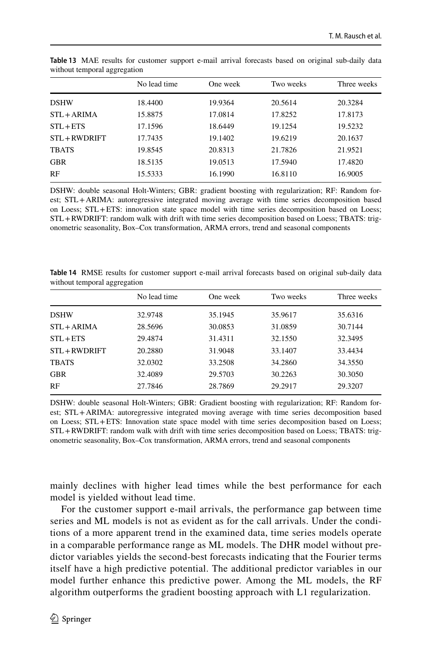|              | No lead time | One week | Two weeks | Three weeks |
|--------------|--------------|----------|-----------|-------------|
| <b>DSHW</b>  | 18.4400      | 19.9364  | 20.5614   | 20.3284     |
| STL + ARIMA  | 15.8875      | 17.0814  | 17.8252   | 17.8173     |
| $STL + ETS$  | 17.1596      | 18.6449  | 19.1254   | 19.5232     |
| STL+RWDRIFT  | 17.7435      | 19.1402  | 19.6219   | 20.1637     |
| <b>TBATS</b> | 19.8545      | 20.8313  | 21.7826   | 21.9521     |
| <b>GBR</b>   | 18.5135      | 19.0513  | 17.5940   | 17.4820     |
| RF           | 15.5333      | 16.1990  | 16.8110   | 16.9005     |
|              |              |          |           |             |

<span id="page-23-0"></span>**Table 13** MAE results for customer support e-mail arrival forecasts based on original sub-daily data without temporal aggregation

DSHW: double seasonal Holt-Winters; GBR: gradient boosting with regularization; RF: Random forest; STL+ARIMA: autoregressive integrated moving average with time series decomposition based on Loess; STL+ETS: innovation state space model with time series decomposition based on Loess; STL+RWDRIFT: random walk with drift with time series decomposition based on Loess; TBATS: trigonometric seasonality, Box–Cox transformation, ARMA errors, trend and seasonal components

<span id="page-23-1"></span>**Table 14** RMSE results for customer support e-mail arrival forecasts based on original sub-daily data without temporal aggregation

|               | No lead time | One week | Two weeks | Three weeks |
|---------------|--------------|----------|-----------|-------------|
| <b>DSHW</b>   | 32.9748      | 35.1945  | 35.9617   | 35.6316     |
| $STL + ARIMA$ | 28.5696      | 30.0853  | 31.0859   | 30.7144     |
| $STL + ETS$   | 29.4874      | 31.4311  | 32.1550   | 32.3495     |
| STL+RWDRIFT   | 20.2880      | 31.9048  | 33.1407   | 33.4434     |
| <b>TBATS</b>  | 32.0302      | 33.2508  | 34.2860   | 34.3550     |
| <b>GBR</b>    | 32.4089      | 29.5703  | 30.2263   | 30.3050     |
| RF            | 27.7846      | 28.7869  | 29.2917   | 29.3207     |

DSHW: double seasonal Holt-Winters; GBR: Gradient boosting with regularization; RF: Random forest; STL+ARIMA: autoregressive integrated moving average with time series decomposition based on Loess; STL+ETS: Innovation state space model with time series decomposition based on Loess; STL+RWDRIFT: random walk with drift with time series decomposition based on Loess; TBATS: trigonometric seasonality, Box–Cox transformation, ARMA errors, trend and seasonal components

mainly declines with higher lead times while the best performance for each model is yielded without lead time.

For the customer support e-mail arrivals, the performance gap between time series and ML models is not as evident as for the call arrivals. Under the conditions of a more apparent trend in the examined data, time series models operate in a comparable performance range as ML models. The DHR model without predictor variables yields the second-best forecasts indicating that the Fourier terms itself have a high predictive potential. The additional predictor variables in our model further enhance this predictive power. Among the ML models, the RF algorithm outperforms the gradient boosting approach with L1 regularization.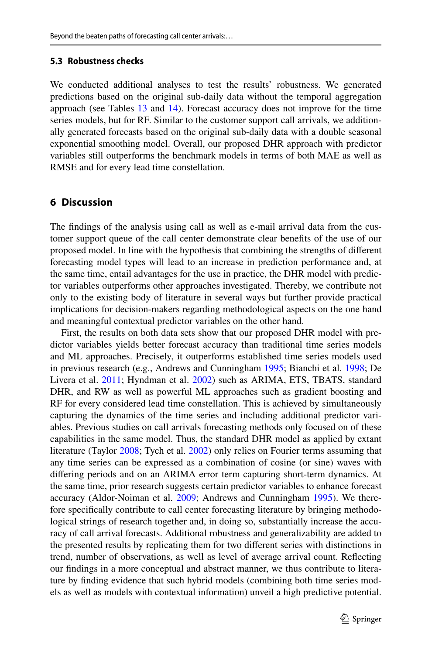### **5.3 Robustness checks**

We conducted additional analyses to test the results' robustness. We generated predictions based on the original sub-daily data without the temporal aggregation approach (see Tables [13](#page-23-0) and [14](#page-23-1)). Forecast accuracy does not improve for the time series models, but for RF. Similar to the customer support call arrivals, we additionally generated forecasts based on the original sub-daily data with a double seasonal exponential smoothing model. Overall, our proposed DHR approach with predictor variables still outperforms the benchmark models in terms of both MAE as well as RMSE and for every lead time constellation.

### <span id="page-24-0"></span>**6 Discussion**

The fndings of the analysis using call as well as e-mail arrival data from the customer support queue of the call center demonstrate clear benefts of the use of our proposed model. In line with the hypothesis that combining the strengths of diferent forecasting model types will lead to an increase in prediction performance and, at the same time, entail advantages for the use in practice, the DHR model with predictor variables outperforms other approaches investigated. Thereby, we contribute not only to the existing body of literature in several ways but further provide practical implications for decision-makers regarding methodological aspects on the one hand and meaningful contextual predictor variables on the other hand.

First, the results on both data sets show that our proposed DHR model with predictor variables yields better forecast accuracy than traditional time series models and ML approaches. Precisely, it outperforms established time series models used in previous research (e.g., Andrews and Cunningham [1995;](#page-28-1) Bianchi et al. [1998;](#page-29-11) De Livera et al. [2011;](#page-29-14) Hyndman et al. [2002\)](#page-29-13) such as ARIMA, ETS, TBATS, standard DHR, and RW as well as powerful ML approaches such as gradient boosting and RF for every considered lead time constellation. This is achieved by simultaneously capturing the dynamics of the time series and including additional predictor variables. Previous studies on call arrivals forecasting methods only focused on of these capabilities in the same model. Thus, the standard DHR model as applied by extant literature (Taylor [2008;](#page-30-7) Tych et al. [2002\)](#page-30-17) only relies on Fourier terms assuming that any time series can be expressed as a combination of cosine (or sine) waves with difering periods and on an ARIMA error term capturing short-term dynamics. At the same time, prior research suggests certain predictor variables to enhance forecast accuracy (Aldor-Noiman et al. [2009;](#page-28-4) Andrews and Cunningham [1995\)](#page-28-1). We therefore specifcally contribute to call center forecasting literature by bringing methodological strings of research together and, in doing so, substantially increase the accuracy of call arrival forecasts. Additional robustness and generalizability are added to the presented results by replicating them for two diferent series with distinctions in trend, number of observations, as well as level of average arrival count. Refecting our fndings in a more conceptual and abstract manner, we thus contribute to literature by fnding evidence that such hybrid models (combining both time series models as well as models with contextual information) unveil a high predictive potential.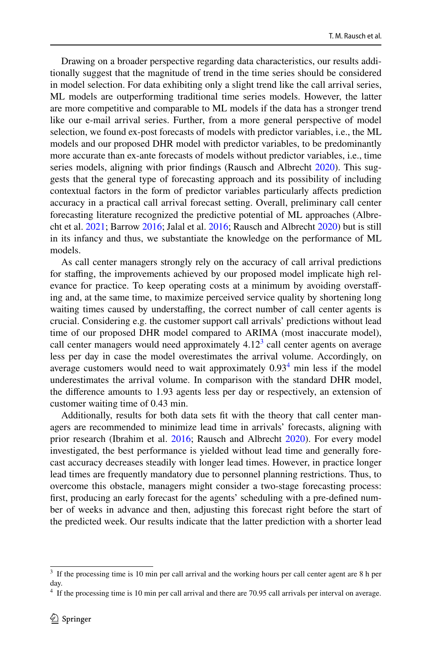Drawing on a broader perspective regarding data characteristics, our results additionally suggest that the magnitude of trend in the time series should be considered in model selection. For data exhibiting only a slight trend like the call arrival series, ML models are outperforming traditional time series models. However, the latter are more competitive and comparable to ML models if the data has a stronger trend like our e-mail arrival series. Further, from a more general perspective of model selection, we found ex-post forecasts of models with predictor variables, i.e., the ML models and our proposed DHR model with predictor variables, to be predominantly more accurate than ex-ante forecasts of models without predictor variables, i.e., time series models, aligning with prior fndings (Rausch and Albrecht [2020\)](#page-30-11). This suggests that the general type of forecasting approach and its possibility of including contextual factors in the form of predictor variables particularly afects prediction accuracy in a practical call arrival forecast setting. Overall, preliminary call center forecasting literature recognized the predictive potential of ML approaches (Albrecht et al. [2021](#page-28-3); Barrow [2016;](#page-28-2) Jalal et al. [2016](#page-29-7); Rausch and Albrecht [2020](#page-30-11)) but is still in its infancy and thus, we substantiate the knowledge on the performance of ML models.

As call center managers strongly rely on the accuracy of call arrival predictions for stafng, the improvements achieved by our proposed model implicate high relevance for practice. To keep operating costs at a minimum by avoiding overstafing and, at the same time, to maximize perceived service quality by shortening long waiting times caused by understaffing, the correct number of call center agents is crucial. Considering e.g. the customer support call arrivals' predictions without lead time of our proposed DHR model compared to ARIMA (most inaccurate model), call center managers would need approximately  $4.12<sup>3</sup>$  $4.12<sup>3</sup>$  $4.12<sup>3</sup>$  call center agents on average less per day in case the model overestimates the arrival volume. Accordingly, on average customers would need to wait approximately  $0.93<sup>4</sup>$  $0.93<sup>4</sup>$  $0.93<sup>4</sup>$  min less if the model underestimates the arrival volume. In comparison with the standard DHR model, the diference amounts to 1.93 agents less per day or respectively, an extension of customer waiting time of 0.43 min.

Additionally, results for both data sets ft with the theory that call center managers are recommended to minimize lead time in arrivals' forecasts, aligning with prior research (Ibrahim et al. [2016](#page-29-5); Rausch and Albrecht [2020](#page-30-11)). For every model investigated, the best performance is yielded without lead time and generally forecast accuracy decreases steadily with longer lead times. However, in practice longer lead times are frequently mandatory due to personnel planning restrictions. Thus, to overcome this obstacle, managers might consider a two-stage forecasting process: frst, producing an early forecast for the agents' scheduling with a pre-defned number of weeks in advance and then, adjusting this forecast right before the start of the predicted week. Our results indicate that the latter prediction with a shorter lead

<span id="page-25-0"></span><sup>&</sup>lt;sup>3</sup> If the processing time is 10 min per call arrival and the working hours per call center agent are 8 h per day.

<span id="page-25-1"></span><sup>&</sup>lt;sup>4</sup> If the processing time is 10 min per call arrival and there are 70.95 call arrivals per interval on average.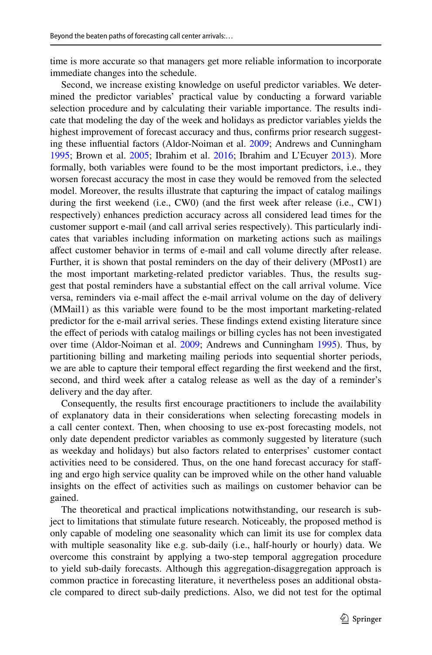time is more accurate so that managers get more reliable information to incorporate immediate changes into the schedule.

Second, we increase existing knowledge on useful predictor variables. We determined the predictor variables' practical value by conducting a forward variable selection procedure and by calculating their variable importance. The results indicate that modeling the day of the week and holidays as predictor variables yields the highest improvement of forecast accuracy and thus, confrms prior research suggesting these infuential factors (Aldor-Noiman et al. [2009;](#page-28-4) Andrews and Cunningham [1995](#page-28-1); Brown et al. [2005;](#page-29-4) Ibrahim et al. [2016](#page-29-5); Ibrahim and L'Ecuyer [2013](#page-29-6)). More formally, both variables were found to be the most important predictors, i.e., they worsen forecast accuracy the most in case they would be removed from the selected model. Moreover, the results illustrate that capturing the impact of catalog mailings during the first weekend (i.e., CW0) (and the first week after release (i.e., CW1) respectively) enhances prediction accuracy across all considered lead times for the customer support e-mail (and call arrival series respectively). This particularly indicates that variables including information on marketing actions such as mailings afect customer behavior in terms of e-mail and call volume directly after release. Further, it is shown that postal reminders on the day of their delivery (MPost1) are the most important marketing-related predictor variables. Thus, the results suggest that postal reminders have a substantial efect on the call arrival volume. Vice versa, reminders via e-mail afect the e-mail arrival volume on the day of delivery (MMail1) as this variable were found to be the most important marketing-related predictor for the e-mail arrival series. These fndings extend existing literature since the efect of periods with catalog mailings or billing cycles has not been investigated over time (Aldor-Noiman et al. [2009](#page-28-4); Andrews and Cunningham [1995\)](#page-28-1). Thus, by partitioning billing and marketing mailing periods into sequential shorter periods, we are able to capture their temporal efect regarding the frst weekend and the frst, second, and third week after a catalog release as well as the day of a reminder's delivery and the day after.

Consequently, the results frst encourage practitioners to include the availability of explanatory data in their considerations when selecting forecasting models in a call center context. Then, when choosing to use ex-post forecasting models, not only date dependent predictor variables as commonly suggested by literature (such as weekday and holidays) but also factors related to enterprises' customer contact activities need to be considered. Thus, on the one hand forecast accuracy for stafing and ergo high service quality can be improved while on the other hand valuable insights on the efect of activities such as mailings on customer behavior can be gained.

The theoretical and practical implications notwithstanding, our research is subject to limitations that stimulate future research. Noticeably, the proposed method is only capable of modeling one seasonality which can limit its use for complex data with multiple seasonality like e.g. sub-daily (i.e., half-hourly or hourly) data. We overcome this constraint by applying a two-step temporal aggregation procedure to yield sub-daily forecasts. Although this aggregation-disaggregation approach is common practice in forecasting literature, it nevertheless poses an additional obstacle compared to direct sub-daily predictions. Also, we did not test for the optimal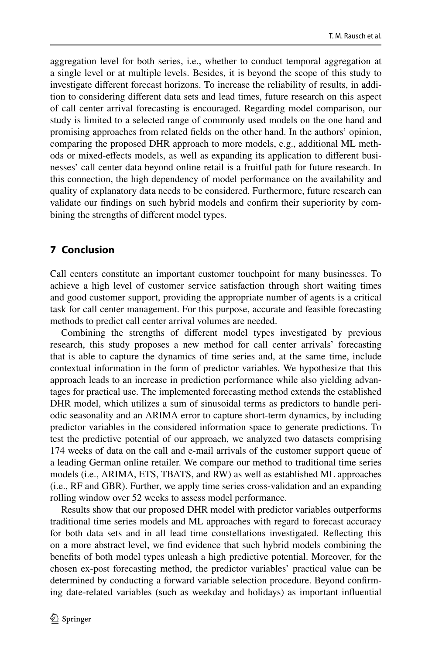aggregation level for both series, i.e., whether to conduct temporal aggregation at a single level or at multiple levels. Besides, it is beyond the scope of this study to investigate diferent forecast horizons. To increase the reliability of results, in addition to considering diferent data sets and lead times, future research on this aspect of call center arrival forecasting is encouraged. Regarding model comparison, our study is limited to a selected range of commonly used models on the one hand and promising approaches from related felds on the other hand. In the authors' opinion, comparing the proposed DHR approach to more models, e.g., additional ML methods or mixed-efects models, as well as expanding its application to diferent businesses' call center data beyond online retail is a fruitful path for future research. In this connection, the high dependency of model performance on the availability and quality of explanatory data needs to be considered. Furthermore, future research can validate our fndings on such hybrid models and confrm their superiority by combining the strengths of diferent model types.

### <span id="page-27-0"></span>**7 Conclusion**

Call centers constitute an important customer touchpoint for many businesses. To achieve a high level of customer service satisfaction through short waiting times and good customer support, providing the appropriate number of agents is a critical task for call center management. For this purpose, accurate and feasible forecasting methods to predict call center arrival volumes are needed.

Combining the strengths of diferent model types investigated by previous research, this study proposes a new method for call center arrivals' forecasting that is able to capture the dynamics of time series and, at the same time, include contextual information in the form of predictor variables. We hypothesize that this approach leads to an increase in prediction performance while also yielding advantages for practical use. The implemented forecasting method extends the established DHR model, which utilizes a sum of sinusoidal terms as predictors to handle periodic seasonality and an ARIMA error to capture short-term dynamics, by including predictor variables in the considered information space to generate predictions. To test the predictive potential of our approach, we analyzed two datasets comprising 174 weeks of data on the call and e-mail arrivals of the customer support queue of a leading German online retailer. We compare our method to traditional time series models (i.e., ARIMA, ETS, TBATS, and RW) as well as established ML approaches (i.e., RF and GBR). Further, we apply time series cross-validation and an expanding rolling window over 52 weeks to assess model performance.

Results show that our proposed DHR model with predictor variables outperforms traditional time series models and ML approaches with regard to forecast accuracy for both data sets and in all lead time constellations investigated. Refecting this on a more abstract level, we fnd evidence that such hybrid models combining the benefts of both model types unleash a high predictive potential. Moreover, for the chosen ex-post forecasting method, the predictor variables' practical value can be determined by conducting a forward variable selection procedure. Beyond confrming date-related variables (such as weekday and holidays) as important infuential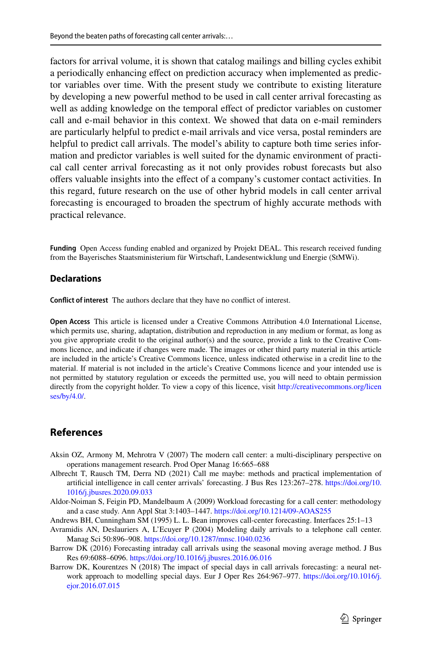factors for arrival volume, it is shown that catalog mailings and billing cycles exhibit a periodically enhancing efect on prediction accuracy when implemented as predictor variables over time. With the present study we contribute to existing literature by developing a new powerful method to be used in call center arrival forecasting as well as adding knowledge on the temporal effect of predictor variables on customer call and e-mail behavior in this context. We showed that data on e-mail reminders are particularly helpful to predict e-mail arrivals and vice versa, postal reminders are helpful to predict call arrivals. The model's ability to capture both time series information and predictor variables is well suited for the dynamic environment of practical call center arrival forecasting as it not only provides robust forecasts but also ofers valuable insights into the efect of a company's customer contact activities. In this regard, future research on the use of other hybrid models in call center arrival forecasting is encouraged to broaden the spectrum of highly accurate methods with practical relevance.

**Funding** Open Access funding enabled and organized by Projekt DEAL. This research received funding from the Bayerisches Staatsministerium für Wirtschaft, Landesentwicklung und Energie (StMWi).

#### **Declarations**

**Confict of interest** The authors declare that they have no confict of interest.

**Open Access** This article is licensed under a Creative Commons Attribution 4.0 International License, which permits use, sharing, adaptation, distribution and reproduction in any medium or format, as long as you give appropriate credit to the original author(s) and the source, provide a link to the Creative Commons licence, and indicate if changes were made. The images or other third party material in this article are included in the article's Creative Commons licence, unless indicated otherwise in a credit line to the material. If material is not included in the article's Creative Commons licence and your intended use is not permitted by statutory regulation or exceeds the permitted use, you will need to obtain permission directly from the copyright holder. To view a copy of this licence, visit [http://creativecommons.org/licen](http://creativecommons.org/licenses/by/4.0/) [ses/by/4.0/](http://creativecommons.org/licenses/by/4.0/).

### **References**

- <span id="page-28-0"></span>Aksin OZ, Armony M, Mehrotra V (2007) The modern call center: a multi-disciplinary perspective on operations management research. Prod Oper Manag 16:665–688
- <span id="page-28-3"></span>Albrecht T, Rausch TM, Derra ND (2021) Call me maybe: methods and practical implementation of artifcial intelligence in call center arrivals' forecasting. J Bus Res 123:267–278. [https://doi.org/10.](https://doi.org/10.1016/j.jbusres.2020.09.033) [1016/j.jbusres.2020.09.033](https://doi.org/10.1016/j.jbusres.2020.09.033)
- <span id="page-28-4"></span>Aldor-Noiman S, Feigin PD, Mandelbaum A (2009) Workload forecasting for a call center: methodology and a case study. Ann Appl Stat 3:1403–1447.<https://doi.org/10.1214/09-AOAS255>

<span id="page-28-1"></span>Andrews BH, Cunningham SM (1995) L. L. Bean improves call-center forecasting. Interfaces 25:1–13

- <span id="page-28-6"></span>Avramidis AN, Deslauriers A, L'Ecuyer P (2004) Modeling daily arrivals to a telephone call center. Manag Sci 50:896–908. <https://doi.org/10.1287/mnsc.1040.0236>
- <span id="page-28-2"></span>Barrow DK (2016) Forecasting intraday call arrivals using the seasonal moving average method. J Bus Res 69:6088–6096.<https://doi.org/10.1016/j.jbusres.2016.06.016>
- <span id="page-28-5"></span>Barrow DK, Kourentzes N (2018) The impact of special days in call arrivals forecasting: a neural network approach to modelling special days. Eur J Oper Res 264:967–977. [https://doi.org/10.1016/j.](https://doi.org/10.1016/j.ejor.2016.07.015) [ejor.2016.07.015](https://doi.org/10.1016/j.ejor.2016.07.015)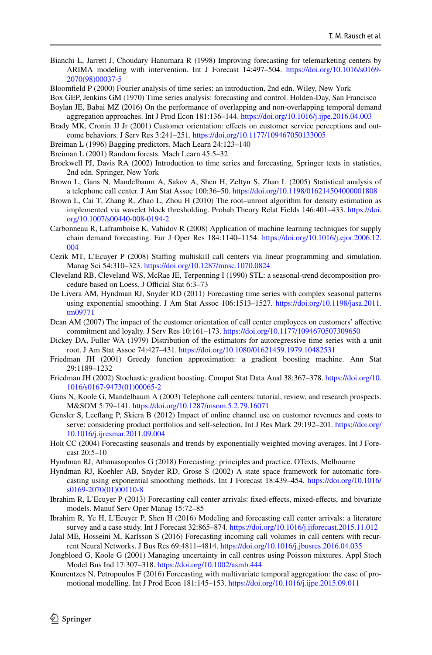- <span id="page-29-11"></span>Bianchi L, Jarrett J, Choudary Hanumara R (1998) Improving forecasting for telemarketing centers by ARIMA modeling with intervention. Int J Forecast 14:497–504. [https://doi.org/10.1016/s0169-](https://doi.org/10.1016/s0169-2070(98)00037-5) [2070\(98\)00037-5](https://doi.org/10.1016/s0169-2070(98)00037-5)
- <span id="page-29-18"></span>Bloomfeld P (2000) Fourier analysis of time series: an introduction, 2nd edn. Wiley, New York
- <span id="page-29-10"></span>Box GEP, Jenkins GM (1970) Time series analysis: forecasting and control. Holden-Day, San Francisco
- <span id="page-29-20"></span>Boylan JE, Babai MZ (2016) On the performance of overlapping and non-overlapping temporal demand aggregation approaches. Int J Prod Econ 181:136–144.<https://doi.org/10.1016/j.ijpe.2016.04.003>
- <span id="page-29-1"></span>Brady MK, Cronin JJ Jr (2001) Customer orientation: effects on customer service perceptions and outcome behaviors. J Serv Res 3:241–251.<https://doi.org/10.1177/109467050133005>
- <span id="page-29-26"></span>Breiman L (1996) Bagging predictors. Mach Learn 24:123–140
- <span id="page-29-27"></span>Breiman L (2001) Random forests. Mach Learn 45:5–32
- <span id="page-29-9"></span>Brockwell PJ, Davis RA (2002) Introduction to time series and forecasting, Springer texts in statistics, 2nd edn. Springer, New York
- <span id="page-29-4"></span>Brown L, Gans N, Mandelbaum A, Sakov A, Shen H, Zeltyn S, Zhao L (2005) Statistical analysis of a telephone call center. J Am Stat Assoc 100:36–50. <https://doi.org/10.1198/016214504000001808>
- <span id="page-29-16"></span>Brown L, Cai T, Zhang R, Zhao L, Zhou H (2010) The root–unroot algorithm for density estimation as implemented via wavelet block thresholding. Probab Theory Relat Fields 146:401–433. [https://doi.](https://doi.org/10.1007/s00440-008-0194-2) [org/10.1007/s00440-008-0194-2](https://doi.org/10.1007/s00440-008-0194-2)
- <span id="page-29-17"></span>Carbonneau R, Laframboise K, Vahidov R (2008) Application of machine learning techniques for supply chain demand forecasting. Eur J Oper Res 184:1140–1154. [https://doi.org/10.1016/j.ejor.2006.12.](https://doi.org/10.1016/j.ejor.2006.12.004) [004](https://doi.org/10.1016/j.ejor.2006.12.004)
- <span id="page-29-8"></span>Cezik MT, L'Ecuyer P (2008) Stafng multiskill call centers via linear programming and simulation. Manag Sci 54:310–323. <https://doi.org/10.1287/mnsc.1070.0824>
- <span id="page-29-23"></span>Cleveland RB, Cleveland WS, McRae JE, Terpenning I (1990) STL: a seasonal-trend decomposition procedure based on Loess. J Official Stat 6:3-73
- <span id="page-29-14"></span>De Livera AM, Hyndman RJ, Snyder RD (2011) Forecasting time series with complex seasonal patterns using exponential smoothing. J Am Stat Assoc 106:1513–1527. [https://doi.org/10.1198/jasa.2011.](https://doi.org/10.1198/jasa.2011.tm09771) [tm09771](https://doi.org/10.1198/jasa.2011.tm09771)
- <span id="page-29-2"></span>Dean AM (2007) The impact of the customer orientation of call center employees on customers' afective commitment and loyalty. J Serv Res 10:161–173.<https://doi.org/10.1177/1094670507309650>
- <span id="page-29-22"></span>Dickey DA, Fuller WA (1979) Distribution of the estimators for autoregressive time series with a unit root. J Am Stat Assoc 74:427–431.<https://doi.org/10.1080/01621459.1979.10482531>
- <span id="page-29-24"></span>Friedman JH (2001) Greedy function approximation: a gradient boosting machine. Ann Stat 29:1189–1232
- <span id="page-29-25"></span>Friedman JH (2002) Stochastic gradient boosting. Comput Stat Data Anal 38:367–378. [https://doi.org/10.](https://doi.org/10.1016/s0167-9473(01)00065-2) [1016/s0167-9473\(01\)00065-2](https://doi.org/10.1016/s0167-9473(01)00065-2)
- <span id="page-29-3"></span>Gans N, Koole G, Mandelbaum A (2003) Telephone call centers: tutorial, review, and research prospects. M&SOM 5:79–141. <https://doi.org/10.1287/msom.5.2.79.16071>
- <span id="page-29-0"></span>Gensler S, Leefang P, Skiera B (2012) Impact of online channel use on customer revenues and costs to serve: considering product portfolios and self-selection. Int J Res Mark 29:192–201. [https://doi.org/](https://doi.org/10.1016/j.ijresmar.2011.09.004) [10.1016/j.ijresmar.2011.09.004](https://doi.org/10.1016/j.ijresmar.2011.09.004)
- <span id="page-29-12"></span>Holt CC (2004) Forecasting seasonals and trends by exponentially weighted moving averages. Int J Forecast 20:5–10
- <span id="page-29-19"></span>Hyndman RJ, Athanasopoulos G (2018) Forecasting: principles and practice. OTexts, Melbourne
- <span id="page-29-13"></span>Hyndman RJ, Koehler AB, Snyder RD, Grose S (2002) A state space framework for automatic forecasting using exponential smoothing methods. Int J Forecast 18:439–454. [https://doi.org/10.1016/](https://doi.org/10.1016/s0169-2070(01)00110-8) [s0169-2070\(01\)00110-8](https://doi.org/10.1016/s0169-2070(01)00110-8)
- <span id="page-29-6"></span>Ibrahim R, L'Ecuyer P (2013) Forecasting call center arrivals: fxed-efects, mixed-efects, and bivariate models. Manuf Serv Oper Manag 15:72–85
- <span id="page-29-5"></span>Ibrahim R, Ye H, L'Ecuyer P, Shen H (2016) Modeling and forecasting call center arrivals: a literature survey and a case study. Int J Forecast 32:865–874. <https://doi.org/10.1016/j.ijforecast.2015.11.012>
- <span id="page-29-7"></span>Jalal ME, Hosseini M, Karlsson S (2016) Forecasting incoming call volumes in call centers with recurrent Neural Networks. J Bus Res 69:4811–4814.<https://doi.org/10.1016/j.jbusres.2016.04.035>
- <span id="page-29-15"></span>Jongbloed G, Koole G (2001) Managing uncertainty in call centres using Poisson mixtures. Appl Stoch Model Bus Ind 17:307–318.<https://doi.org/10.1002/asmb.444>
- <span id="page-29-21"></span>Kourentzes N, Petropoulos F (2016) Forecasting with multivariate temporal aggregation: the case of promotional modelling. Int J Prod Econ 181:145–153.<https://doi.org/10.1016/j.ijpe.2015.09.011>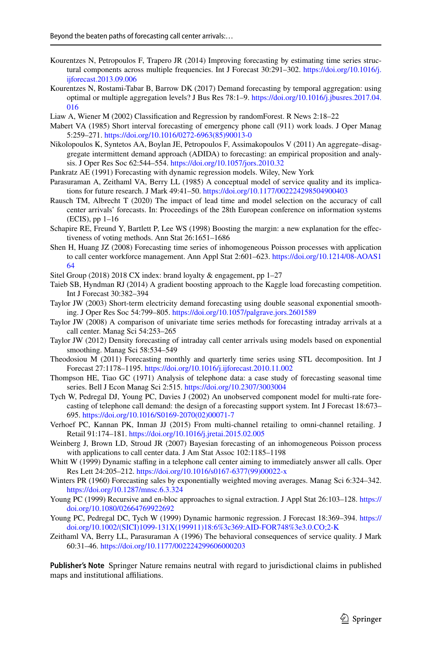- <span id="page-30-19"></span>Kourentzes N, Petropoulos F, Trapero JR (2014) Improving forecasting by estimating time series structural components across multiple frequencies. Int J Forecast 30:291–302. [https://doi.org/10.1016/j.](https://doi.org/10.1016/j.ijforecast.2013.09.006) [ijforecast.2013.09.006](https://doi.org/10.1016/j.ijforecast.2013.09.006)
- <span id="page-30-18"></span>Kourentzes N, Rostami-Tabar B, Barrow DK (2017) Demand forecasting by temporal aggregation: using optimal or multiple aggregation levels? J Bus Res 78:1–9. [https://doi.org/10.1016/j.jbusres.2017.04.](https://doi.org/10.1016/j.jbusres.2017.04.016) [016](https://doi.org/10.1016/j.jbusres.2017.04.016)
- <span id="page-30-23"></span>Liaw A, Wiener M (2002) Classifcation and Regression by randomForest. R News 2:18–22
- <span id="page-30-4"></span>Mabert VA (1985) Short interval forecasting of emergency phone call (911) work loads. J Oper Manag 5:259–271. [https://doi.org/10.1016/0272-6963\(85\)90013-0](https://doi.org/10.1016/0272-6963(85)90013-0)
- <span id="page-30-20"></span>Nikolopoulos K, Syntetos AA, Boylan JE, Petropoulos F, Assimakopoulos V (2011) An aggregate–disaggregate intermittent demand approach (ADIDA) to forecasting: an empirical proposition and analysis. J Oper Res Soc 62:544–554. <https://doi.org/10.1057/jors.2010.32>
- <span id="page-30-16"></span>Pankratz AE (1991) Forecasting with dynamic regression models. Wiley, New York
- <span id="page-30-2"></span>Parasuraman A, Zeithaml VA, Berry LL (1985) A conceptual model of service quality and its implications for future research. J Mark 49:41–50. <https://doi.org/10.1177/002224298504900403>
- <span id="page-30-11"></span>Rausch TM, Albrecht T (2020) The impact of lead time and model selection on the accuracy of call center arrivals' forecasts. In: Proceedings of the 28th European conference on information systems (ECIS), pp 1–16
- <span id="page-30-22"></span>Schapire RE, Freund Y, Bartlett P, Lee WS (1998) Boosting the margin: a new explanation for the efectiveness of voting methods. Ann Stat 26:1651–1686
- <span id="page-30-14"></span>Shen H, Huang JZ (2008) Forecasting time series of inhomogeneous Poisson processes with application to call center workforce management. Ann Appl Stat 2:601–623. [https://doi.org/10.1214/08-AOAS1](https://doi.org/10.1214/08-AOAS164) [64](https://doi.org/10.1214/08-AOAS164)
- <span id="page-30-1"></span>Sitel Group (2018) 2018 CX index: brand loyalty & engagement, pp 1–27
- <span id="page-30-24"></span>Taieb SB, Hyndman RJ (2014) A gradient boosting approach to the Kaggle load forecasting competition. Int J Forecast 30:382–394
- <span id="page-30-6"></span>Taylor JW (2003) Short-term electricity demand forecasting using double seasonal exponential smoothing. J Oper Res Soc 54:799–805.<https://doi.org/10.1057/palgrave.jors.2601589>
- <span id="page-30-7"></span>Taylor JW (2008) A comparison of univariate time series methods for forecasting intraday arrivals at a call center. Manag Sci 54:253–265
- <span id="page-30-8"></span>Taylor JW (2012) Density forecasting of intraday call center arrivals using models based on exponential smoothing. Manag Sci 58:534–549
- <span id="page-30-21"></span>Theodosiou M (2011) Forecasting monthly and quarterly time series using STL decomposition. Int J Forecast 27:1178–1195.<https://doi.org/10.1016/j.ijforecast.2010.11.002>
- <span id="page-30-5"></span>Thompson HE, Tiao GC (1971) Analysis of telephone data: a case study of forecasting seasonal time series. Bell J Econ Manag Sci 2:515. <https://doi.org/10.2307/3003004>
- <span id="page-30-17"></span>Tych W, Pedregal DJ, Young PC, Davies J (2002) An unobserved component model for multi-rate forecasting of telephone call demand: the design of a forecasting support system. Int J Forecast 18:673– 695. [https://doi.org/10.1016/S0169-2070\(02\)00071-7](https://doi.org/10.1016/S0169-2070(02)00071-7)
- <span id="page-30-0"></span>Verhoef PC, Kannan PK, Inman JJ (2015) From multi-channel retailing to omni-channel retailing. J Retail 91:174–181.<https://doi.org/10.1016/j.jretai.2015.02.005>
- <span id="page-30-15"></span>Weinberg J, Brown LD, Stroud JR (2007) Bayesian forecasting of an inhomogeneous Poisson process with applications to call center data. J Am Stat Assoc 102:1185–1198
- <span id="page-30-13"></span>Whitt W (1999) Dynamic staffing in a telephone call center aiming to immediately answer all calls. Oper Res Lett 24:205–212. [https://doi.org/10.1016/s0167-6377\(99\)00022-x](https://doi.org/10.1016/s0167-6377(99)00022-x)
- <span id="page-30-12"></span>Winters PR (1960) Forecasting sales by exponentially weighted moving averages. Manag Sci 6:324–342. <https://doi.org/10.1287/mnsc.6.3.324>
- <span id="page-30-10"></span>Young PC (1999) Recursive and en-bloc approaches to signal extraction. J Appl Stat 26:103–128. [https://](https://doi.org/10.1080/02664769922692) [doi.org/10.1080/02664769922692](https://doi.org/10.1080/02664769922692)
- <span id="page-30-9"></span>Young PC, Pedregal DC, Tych W (1999) Dynamic harmonic regression. J Forecast 18:369–394. [https://](https://doi.org/10.1002/(SICI)1099-131X(199911)18:6%3c369:AID-FOR748%3e3.0.CO;2-K) [doi.org/10.1002/\(SICI\)1099-131X\(199911\)18:6%3c369:AID-FOR748%3e3.0.CO;2-K](https://doi.org/10.1002/(SICI)1099-131X(199911)18:6%3c369:AID-FOR748%3e3.0.CO;2-K)
- <span id="page-30-3"></span>Zeithaml VA, Berry LL, Parasuraman A (1996) The behavioral consequences of service quality. J Mark 60:31–46.<https://doi.org/10.1177/002224299606000203>

**Publisher's Note** Springer Nature remains neutral with regard to jurisdictional claims in published maps and institutional affiliations.